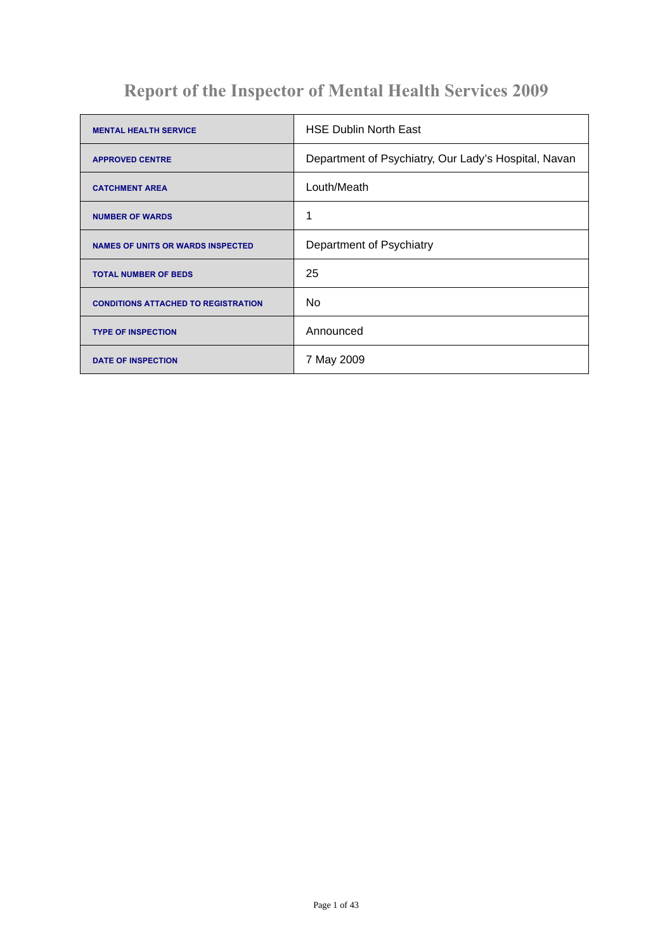# **Report of the Inspector of Mental Health Services 2009**

| <b>MENTAL HEALTH SERVICE</b>               | <b>HSE Dublin North East</b>                         |
|--------------------------------------------|------------------------------------------------------|
| <b>APPROVED CENTRE</b>                     | Department of Psychiatry, Our Lady's Hospital, Navan |
| <b>CATCHMENT AREA</b>                      | Louth/Meath                                          |
| <b>NUMBER OF WARDS</b>                     | 1                                                    |
| <b>NAMES OF UNITS OR WARDS INSPECTED</b>   | Department of Psychiatry                             |
| <b>TOTAL NUMBER OF BEDS</b>                | 25                                                   |
| <b>CONDITIONS ATTACHED TO REGISTRATION</b> | No                                                   |
| <b>TYPE OF INSPECTION</b>                  | Announced                                            |
| <b>DATE OF INSPECTION</b>                  | 7 May 2009                                           |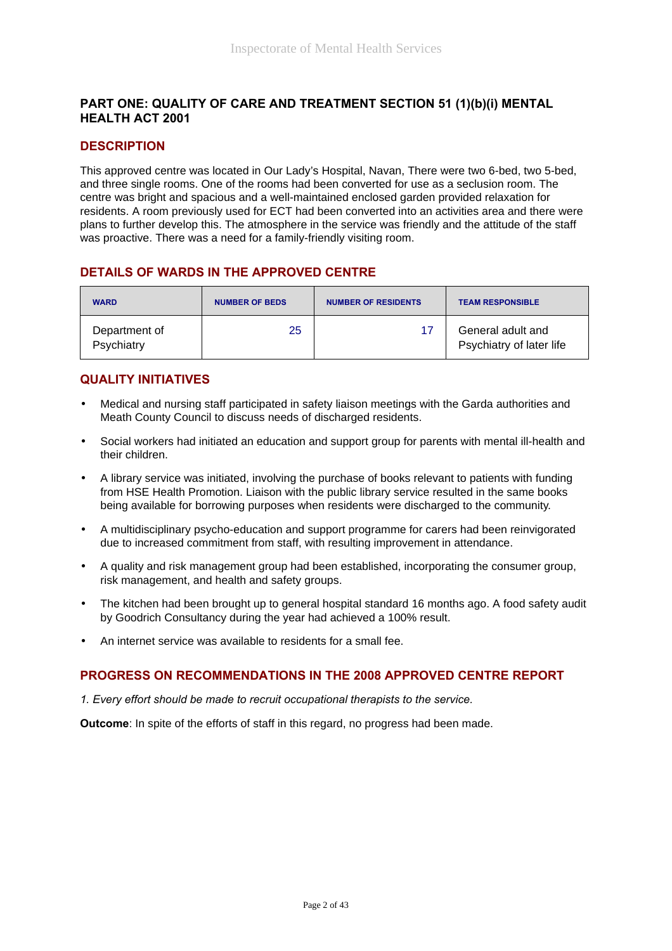## **PART ONE: QUALITY OF CARE AND TREATMENT SECTION 51 (1)(b)(i) MENTAL HEALTH ACT 2001**

## **DESCRIPTION**

This approved centre was located in Our Lady's Hospital, Navan, There were two 6-bed, two 5-bed, and three single rooms. One of the rooms had been converted for use as a seclusion room. The centre was bright and spacious and a well-maintained enclosed garden provided relaxation for residents. A room previously used for ECT had been converted into an activities area and there were plans to further develop this. The atmosphere in the service was friendly and the attitude of the staff was proactive. There was a need for a family-friendly visiting room.

## **DETAILS OF WARDS IN THE APPROVED CENTRE**

| <b>WARD</b>                 | <b>NUMBER OF BEDS</b> | <b>NUMBER OF RESIDENTS</b> | <b>TEAM RESPONSIBLE</b>                       |
|-----------------------------|-----------------------|----------------------------|-----------------------------------------------|
| Department of<br>Psychiatry | 25                    |                            | General adult and<br>Psychiatry of later life |

## **QUALITY INITIATIVES**

- Medical and nursing staff participated in safety liaison meetings with the Garda authorities and Meath County Council to discuss needs of discharged residents.
- Social workers had initiated an education and support group for parents with mental ill-health and their children.
- A library service was initiated, involving the purchase of books relevant to patients with funding from HSE Health Promotion. Liaison with the public library service resulted in the same books being available for borrowing purposes when residents were discharged to the community.
- A multidisciplinary psycho-education and support programme for carers had been reinvigorated due to increased commitment from staff, with resulting improvement in attendance.
- A quality and risk management group had been established, incorporating the consumer group, risk management, and health and safety groups.
- The kitchen had been brought up to general hospital standard 16 months ago. A food safety audit by Goodrich Consultancy during the year had achieved a 100% result.
- An internet service was available to residents for a small fee.

## **PROGRESS ON RECOMMENDATIONS IN THE 2008 APPROVED CENTRE REPORT**

*1. Every effort should be made to recruit occupational therapists to the service.*

**Outcome**: In spite of the efforts of staff in this regard, no progress had been made.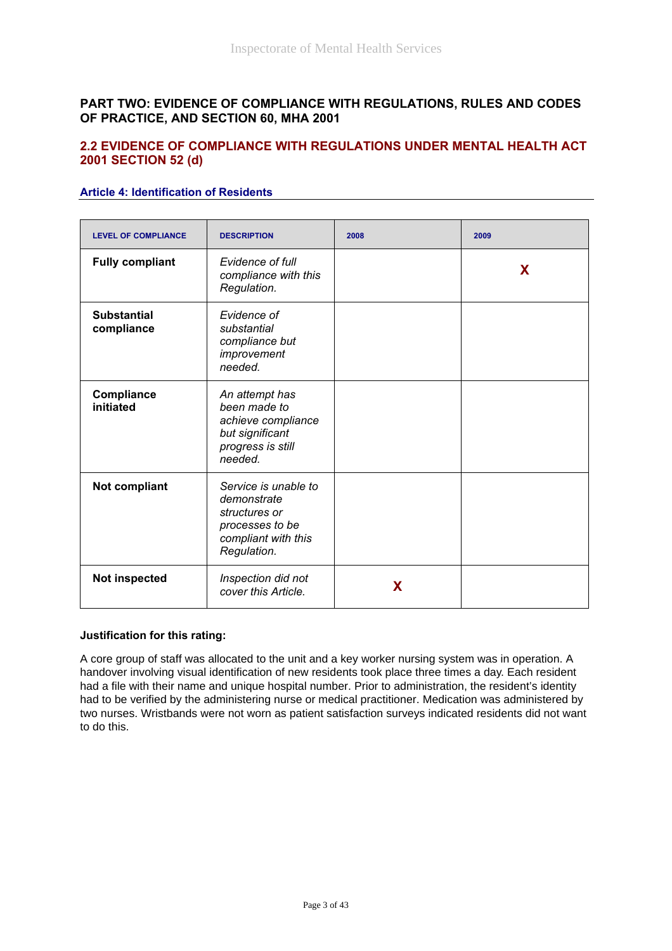## **PART TWO: EVIDENCE OF COMPLIANCE WITH REGULATIONS, RULES AND CODES OF PRACTICE, AND SECTION 60, MHA 2001**

## **2.2 EVIDENCE OF COMPLIANCE WITH REGULATIONS UNDER MENTAL HEALTH ACT 2001 SECTION 52 (d)**

#### **Article 4: Identification of Residents**

| <b>LEVEL OF COMPLIANCE</b>       | <b>DESCRIPTION</b>                                                                                            | 2008 | 2009 |
|----------------------------------|---------------------------------------------------------------------------------------------------------------|------|------|
| <b>Fully compliant</b>           | Evidence of full<br>compliance with this<br>Regulation.                                                       |      | X    |
| <b>Substantial</b><br>compliance | Evidence of<br>substantial<br>compliance but<br>improvement<br>needed.                                        |      |      |
| Compliance<br>initiated          | An attempt has<br>been made to<br>achieve compliance<br>but significant<br>progress is still<br>needed.       |      |      |
| Not compliant                    | Service is unable to<br>demonstrate<br>structures or<br>processes to be<br>compliant with this<br>Regulation. |      |      |
| <b>Not inspected</b>             | Inspection did not<br>cover this Article.                                                                     | X    |      |

#### **Justification for this rating:**

A core group of staff was allocated to the unit and a key worker nursing system was in operation. A handover involving visual identification of new residents took place three times a day. Each resident had a file with their name and unique hospital number. Prior to administration, the resident's identity had to be verified by the administering nurse or medical practitioner. Medication was administered by two nurses. Wristbands were not worn as patient satisfaction surveys indicated residents did not want to do this.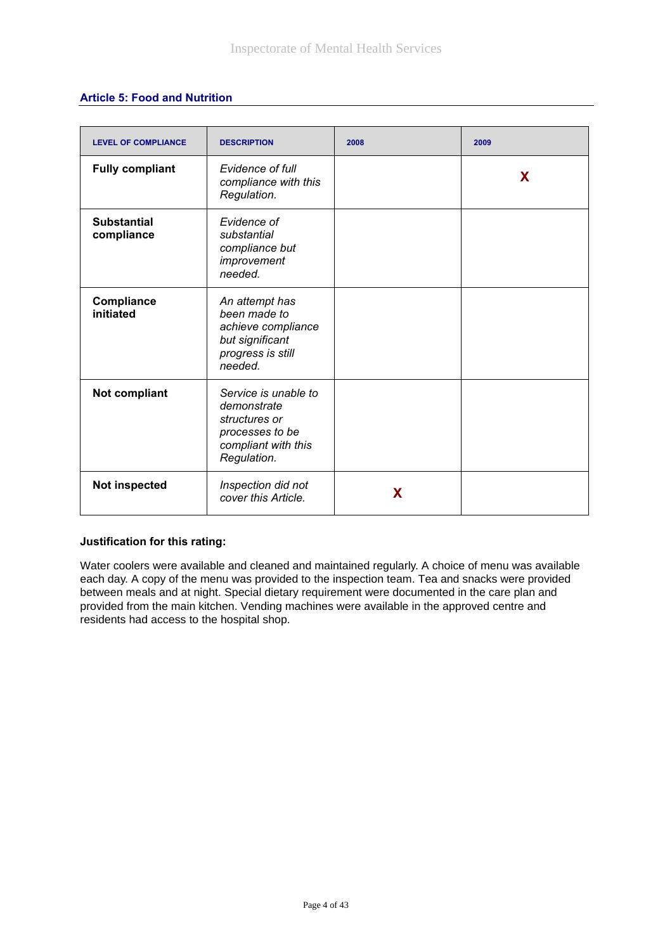#### **Article 5: Food and Nutrition**

| <b>LEVEL OF COMPLIANCE</b>       | <b>DESCRIPTION</b>                                                                                            | 2008 | 2009 |
|----------------------------------|---------------------------------------------------------------------------------------------------------------|------|------|
| <b>Fully compliant</b>           | Evidence of full<br>compliance with this<br>Regulation.                                                       |      | X    |
| <b>Substantial</b><br>compliance | Evidence of<br>substantial<br>compliance but<br>improvement<br>needed.                                        |      |      |
| Compliance<br>initiated          | An attempt has<br>been made to<br>achieve compliance<br>but significant<br>progress is still<br>needed.       |      |      |
| <b>Not compliant</b>             | Service is unable to<br>demonstrate<br>structures or<br>processes to be<br>compliant with this<br>Regulation. |      |      |
| Not inspected                    | Inspection did not<br>cover this Article.                                                                     | X    |      |

#### **Justification for this rating:**

Water coolers were available and cleaned and maintained regularly. A choice of menu was available each day. A copy of the menu was provided to the inspection team. Tea and snacks were provided between meals and at night. Special dietary requirement were documented in the care plan and provided from the main kitchen. Vending machines were available in the approved centre and residents had access to the hospital shop.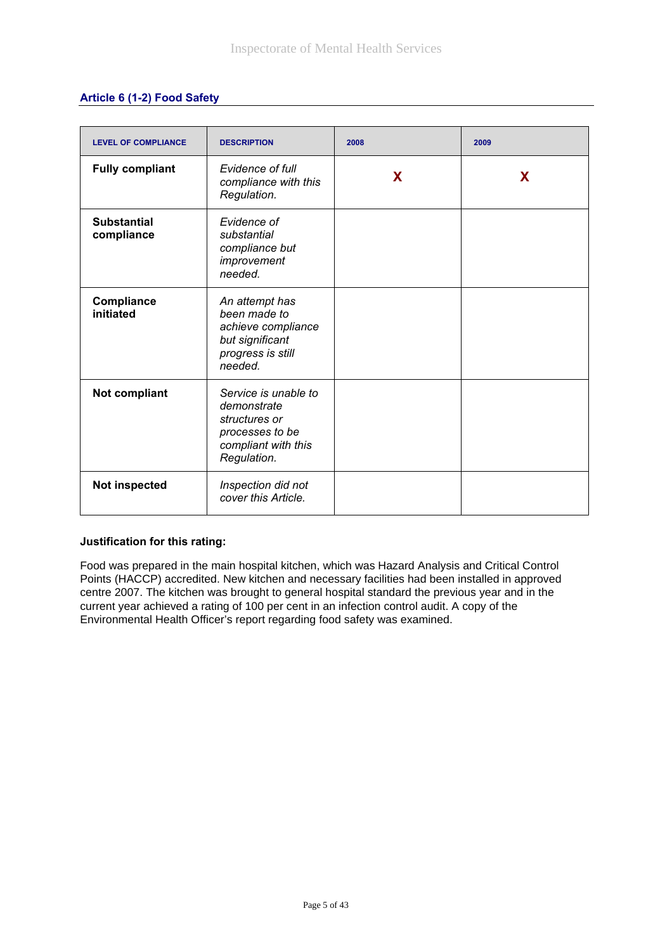## **Article 6 (1-2) Food Safety**

| <b>LEVEL OF COMPLIANCE</b>       | <b>DESCRIPTION</b>                                                                                            | 2008 | 2009 |
|----------------------------------|---------------------------------------------------------------------------------------------------------------|------|------|
| <b>Fully compliant</b>           | Evidence of full<br>compliance with this<br>Regulation.                                                       | X    | X    |
| <b>Substantial</b><br>compliance | Evidence of<br>substantial<br>compliance but<br>improvement<br>needed.                                        |      |      |
| Compliance<br>initiated          | An attempt has<br>been made to<br>achieve compliance<br>but significant<br>progress is still<br>needed.       |      |      |
| Not compliant                    | Service is unable to<br>demonstrate<br>structures or<br>processes to be<br>compliant with this<br>Regulation. |      |      |
| Not inspected                    | Inspection did not<br>cover this Article.                                                                     |      |      |

#### **Justification for this rating:**

Food was prepared in the main hospital kitchen, which was Hazard Analysis and Critical Control Points (HACCP) accredited. New kitchen and necessary facilities had been installed in approved centre 2007. The kitchen was brought to general hospital standard the previous year and in the current year achieved a rating of 100 per cent in an infection control audit. A copy of the Environmental Health Officer's report regarding food safety was examined.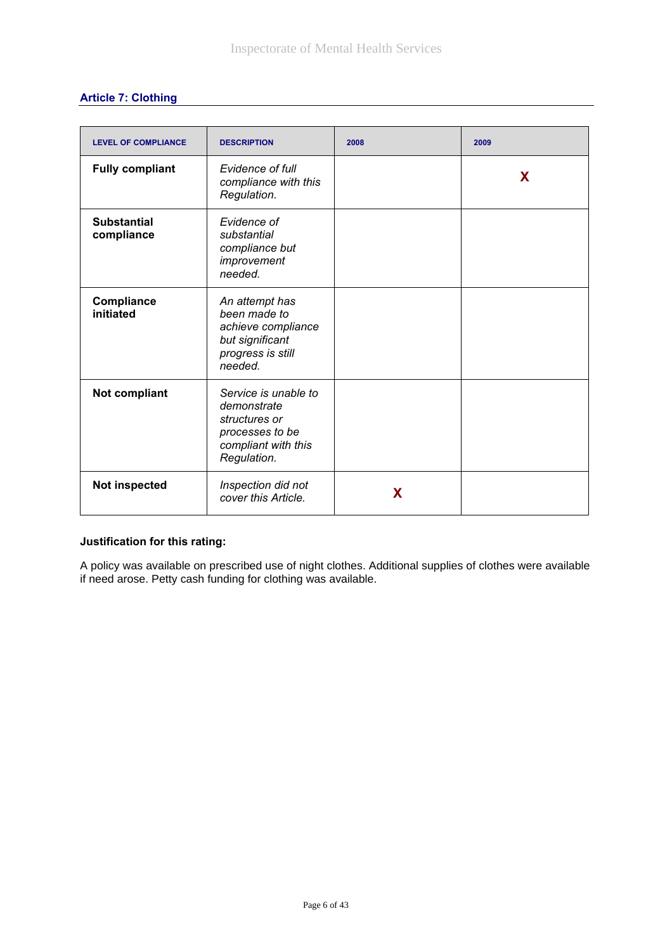# **Article 7: Clothing**

| <b>LEVEL OF COMPLIANCE</b>       | <b>DESCRIPTION</b>                                                                                            | 2008 | 2009 |
|----------------------------------|---------------------------------------------------------------------------------------------------------------|------|------|
| <b>Fully compliant</b>           | Evidence of full<br>compliance with this<br>Regulation.                                                       |      | X    |
| <b>Substantial</b><br>compliance | Evidence of<br>substantial<br>compliance but<br>improvement<br>needed.                                        |      |      |
| Compliance<br>initiated          | An attempt has<br>been made to<br>achieve compliance<br>but significant<br>progress is still<br>needed.       |      |      |
| <b>Not compliant</b>             | Service is unable to<br>demonstrate<br>structures or<br>processes to be<br>compliant with this<br>Regulation. |      |      |
| <b>Not inspected</b>             | Inspection did not<br>cover this Article.                                                                     | X    |      |

## **Justification for this rating:**

A policy was available on prescribed use of night clothes. Additional supplies of clothes were available if need arose. Petty cash funding for clothing was available.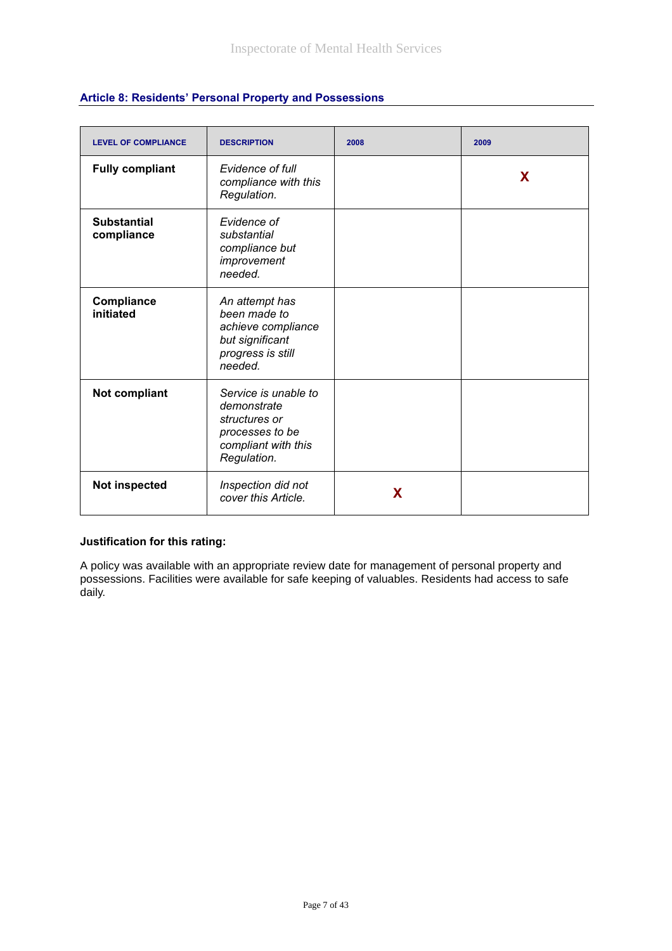| <b>LEVEL OF COMPLIANCE</b>       | <b>DESCRIPTION</b>                                                                                            | 2008 | 2009 |
|----------------------------------|---------------------------------------------------------------------------------------------------------------|------|------|
| <b>Fully compliant</b>           | Evidence of full<br>compliance with this<br>Regulation.                                                       |      | X    |
| <b>Substantial</b><br>compliance | Evidence of<br>substantial<br>compliance but<br>improvement<br>needed.                                        |      |      |
| Compliance<br>initiated          | An attempt has<br>been made to<br>achieve compliance<br>but significant<br>progress is still<br>needed.       |      |      |
| Not compliant                    | Service is unable to<br>demonstrate<br>structures or<br>processes to be<br>compliant with this<br>Regulation. |      |      |
| <b>Not inspected</b>             | Inspection did not<br>cover this Article.                                                                     | X    |      |

# **Article 8: Residents' Personal Property and Possessions**

#### **Justification for this rating:**

A policy was available with an appropriate review date for management of personal property and possessions. Facilities were available for safe keeping of valuables. Residents had access to safe daily.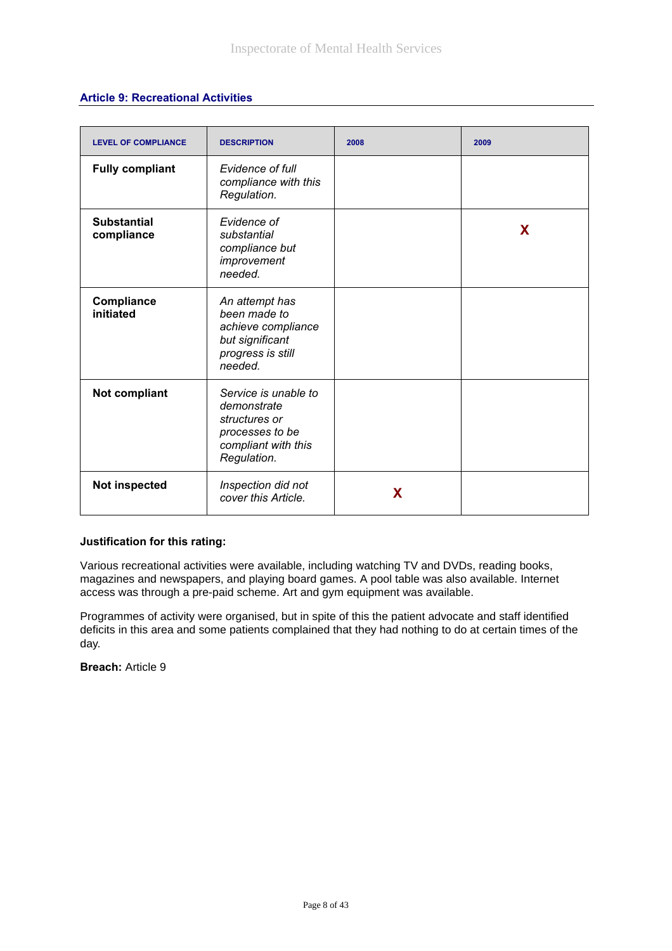## **Article 9: Recreational Activities**

| <b>LEVEL OF COMPLIANCE</b>       | <b>DESCRIPTION</b>                                                                                            | 2008 | 2009 |
|----------------------------------|---------------------------------------------------------------------------------------------------------------|------|------|
| <b>Fully compliant</b>           | Evidence of full<br>compliance with this<br>Regulation.                                                       |      |      |
| <b>Substantial</b><br>compliance | Evidence of<br>substantial<br>compliance but<br>improvement<br>needed.                                        |      | X    |
| Compliance<br>initiated          | An attempt has<br>been made to<br>achieve compliance<br>but significant<br>progress is still<br>needed.       |      |      |
| Not compliant                    | Service is unable to<br>demonstrate<br>structures or<br>processes to be<br>compliant with this<br>Regulation. |      |      |
| Not inspected                    | Inspection did not<br>cover this Article.                                                                     | X    |      |

#### **Justification for this rating:**

Various recreational activities were available, including watching TV and DVDs, reading books, magazines and newspapers, and playing board games. A pool table was also available. Internet access was through a pre-paid scheme. Art and gym equipment was available.

Programmes of activity were organised, but in spite of this the patient advocate and staff identified deficits in this area and some patients complained that they had nothing to do at certain times of the day.

**Breach:** Article 9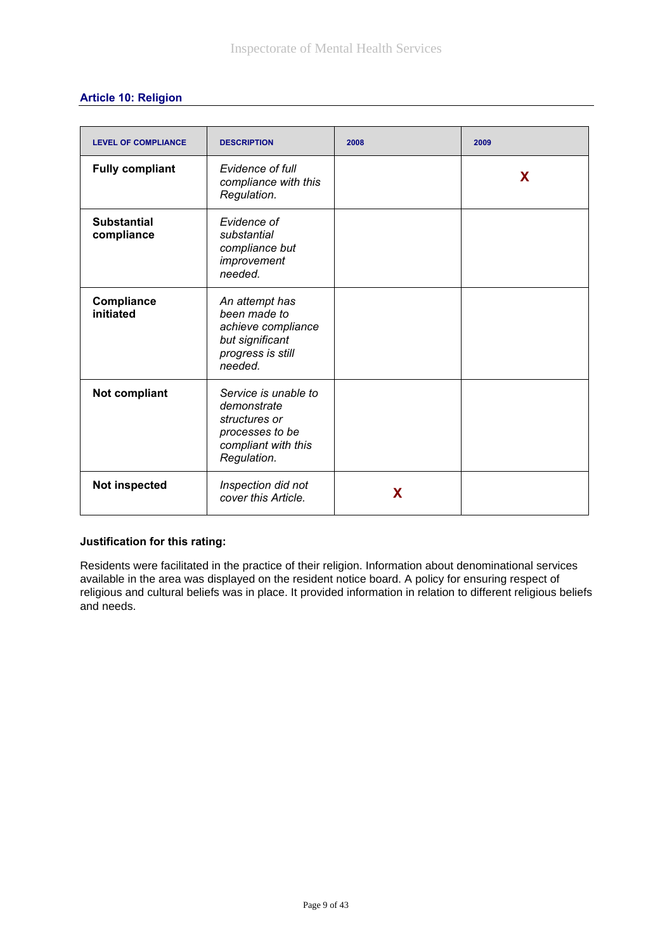| <b>LEVEL OF COMPLIANCE</b>       | <b>DESCRIPTION</b>                                                                                            | 2008 | 2009 |
|----------------------------------|---------------------------------------------------------------------------------------------------------------|------|------|
| <b>Fully compliant</b>           | Evidence of full<br>compliance with this<br>Regulation.                                                       |      | X    |
| <b>Substantial</b><br>compliance | Evidence of<br>substantial<br>compliance but<br>improvement<br>needed.                                        |      |      |
| Compliance<br>initiated          | An attempt has<br>been made to<br>achieve compliance<br>but significant<br>progress is still<br>needed.       |      |      |
| Not compliant                    | Service is unable to<br>demonstrate<br>structures or<br>processes to be<br>compliant with this<br>Regulation. |      |      |
| Not inspected                    | Inspection did not<br>cover this Article.                                                                     | X    |      |

## **Article 10: Religion**

#### **Justification for this rating:**

Residents were facilitated in the practice of their religion. Information about denominational services available in the area was displayed on the resident notice board. A policy for ensuring respect of religious and cultural beliefs was in place. It provided information in relation to different religious beliefs and needs.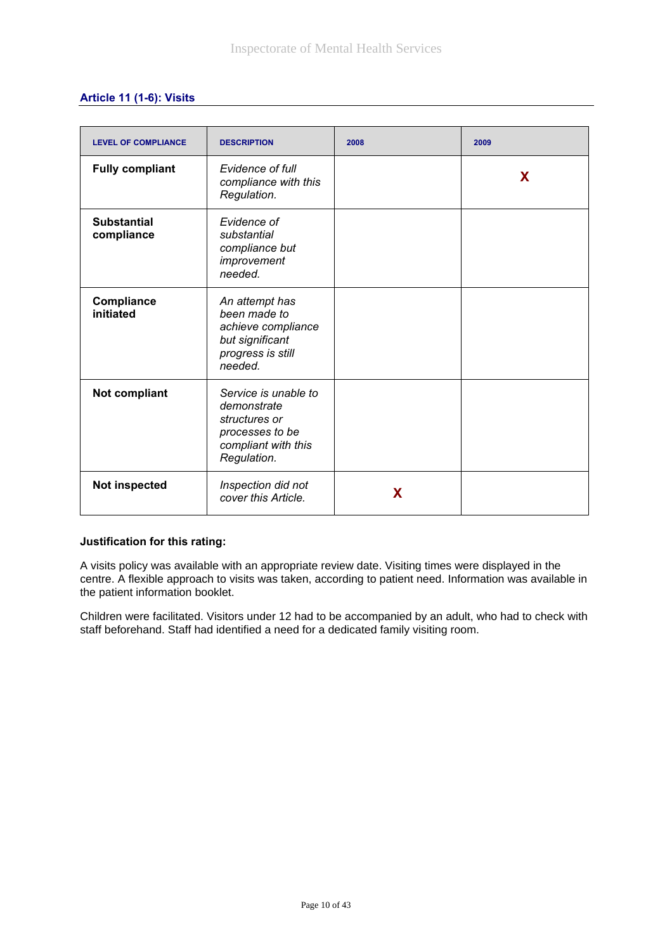## **Article 11 (1-6): Visits**

| <b>LEVEL OF COMPLIANCE</b>       | <b>DESCRIPTION</b>                                                                                            | 2008 | 2009 |
|----------------------------------|---------------------------------------------------------------------------------------------------------------|------|------|
| <b>Fully compliant</b>           | Evidence of full<br>compliance with this<br>Regulation.                                                       |      | X    |
| <b>Substantial</b><br>compliance | Evidence of<br>substantial<br>compliance but<br>improvement<br>needed.                                        |      |      |
| Compliance<br>initiated          | An attempt has<br>been made to<br>achieve compliance<br>but significant<br>progress is still<br>needed.       |      |      |
| Not compliant                    | Service is unable to<br>demonstrate<br>structures or<br>processes to be<br>compliant with this<br>Regulation. |      |      |
| Not inspected                    | Inspection did not<br>cover this Article.                                                                     | X    |      |

#### **Justification for this rating:**

A visits policy was available with an appropriate review date. Visiting times were displayed in the centre. A flexible approach to visits was taken, according to patient need. Information was available in the patient information booklet.

Children were facilitated. Visitors under 12 had to be accompanied by an adult, who had to check with staff beforehand. Staff had identified a need for a dedicated family visiting room.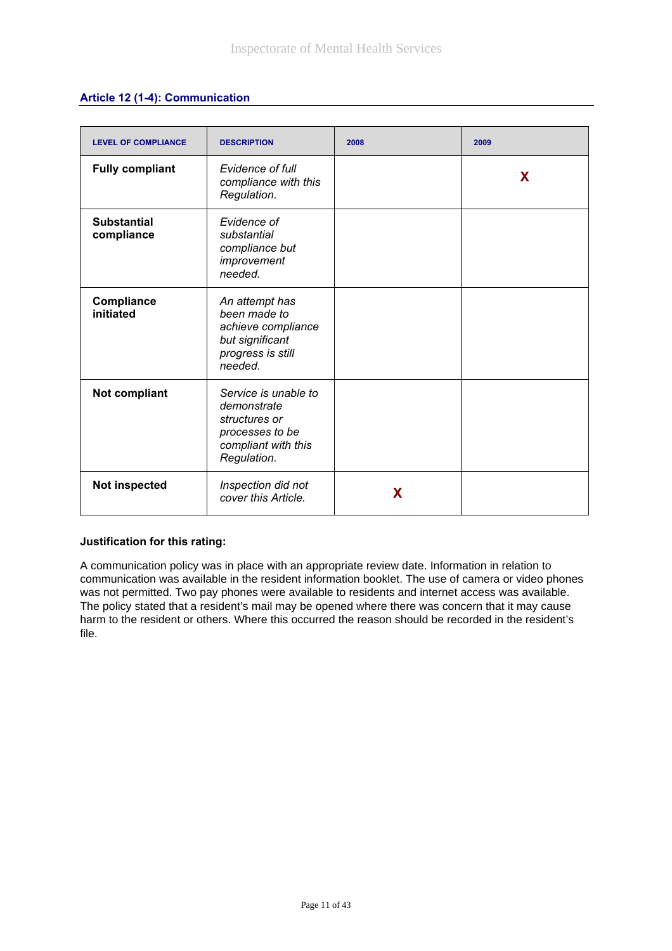|  |  | Article 12 (1-4): Communication |
|--|--|---------------------------------|
|--|--|---------------------------------|

| <b>LEVEL OF COMPLIANCE</b>       | <b>DESCRIPTION</b>                                                                                            | 2008 | 2009 |
|----------------------------------|---------------------------------------------------------------------------------------------------------------|------|------|
| <b>Fully compliant</b>           | Evidence of full<br>compliance with this<br>Regulation.                                                       |      | X    |
| <b>Substantial</b><br>compliance | Evidence of<br>substantial<br>compliance but<br>improvement<br>needed.                                        |      |      |
| <b>Compliance</b><br>initiated   | An attempt has<br>been made to<br>achieve compliance<br>but significant<br>progress is still<br>needed.       |      |      |
| <b>Not compliant</b>             | Service is unable to<br>demonstrate<br>structures or<br>processes to be<br>compliant with this<br>Regulation. |      |      |
| Not inspected                    | Inspection did not<br>cover this Article.                                                                     | X    |      |

A communication policy was in place with an appropriate review date. Information in relation to communication was available in the resident information booklet. The use of camera or video phones was not permitted. Two pay phones were available to residents and internet access was available. The policy stated that a resident's mail may be opened where there was concern that it may cause harm to the resident or others. Where this occurred the reason should be recorded in the resident's file.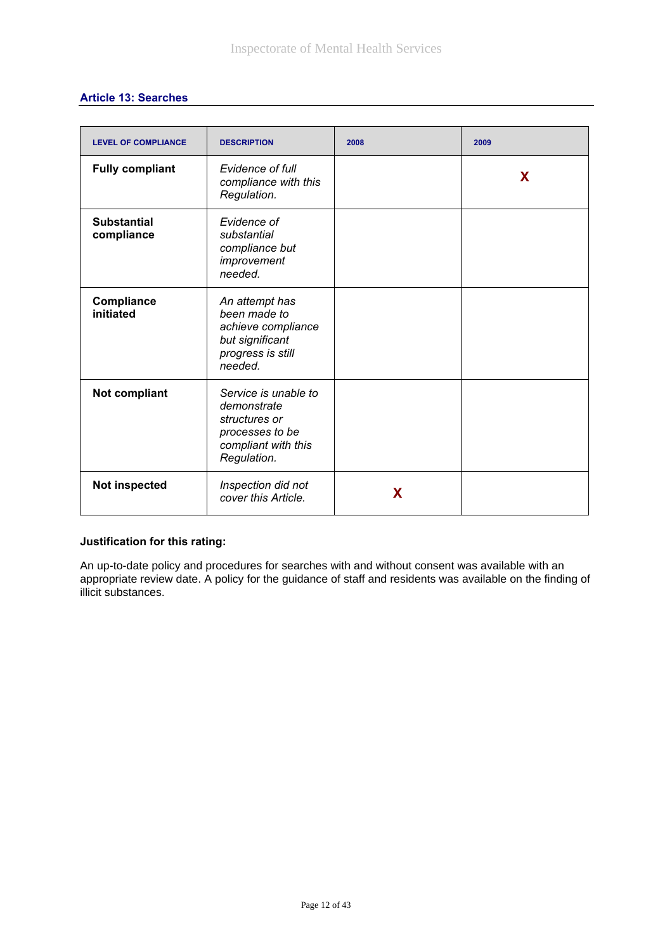|  | <b>Article 13: Searches</b> |  |
|--|-----------------------------|--|
|  |                             |  |

| <b>LEVEL OF COMPLIANCE</b>       | <b>DESCRIPTION</b>                                                                                            | 2008 | 2009 |
|----------------------------------|---------------------------------------------------------------------------------------------------------------|------|------|
| <b>Fully compliant</b>           | Evidence of full<br>compliance with this<br>Regulation.                                                       |      | X    |
| <b>Substantial</b><br>compliance | Evidence of<br>substantial<br>compliance but<br>improvement<br>needed.                                        |      |      |
| Compliance<br>initiated          | An attempt has<br>been made to<br>achieve compliance<br>but significant<br>progress is still<br>needed.       |      |      |
| Not compliant                    | Service is unable to<br>demonstrate<br>structures or<br>processes to be<br>compliant with this<br>Regulation. |      |      |
| <b>Not inspected</b>             | Inspection did not<br>cover this Article.                                                                     | X    |      |

An up-to-date policy and procedures for searches with and without consent was available with an appropriate review date. A policy for the guidance of staff and residents was available on the finding of illicit substances.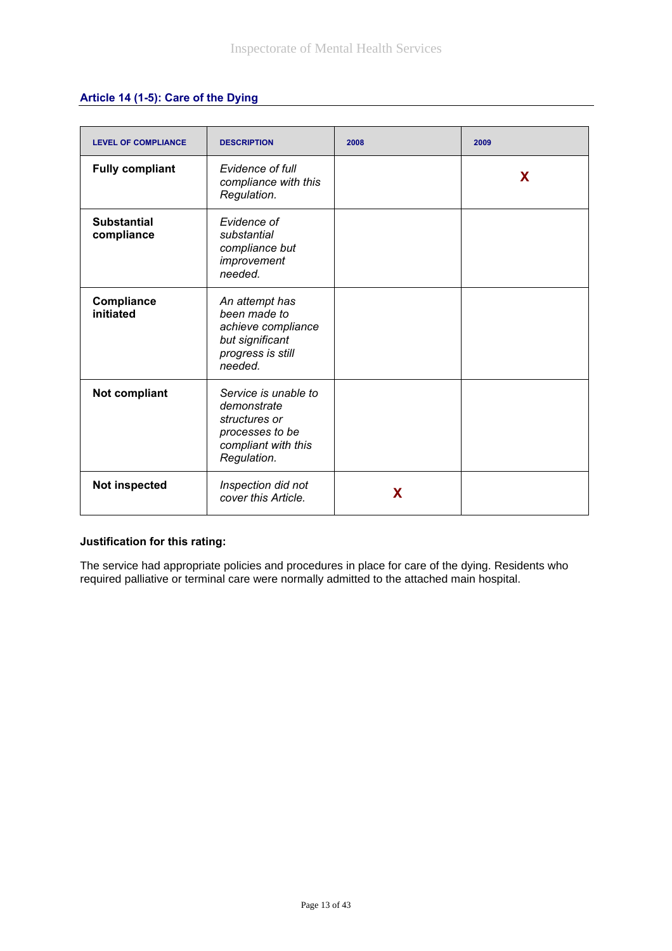| Article 14 (1-5): Care of the Dying |  |  |  |  |  |
|-------------------------------------|--|--|--|--|--|
|-------------------------------------|--|--|--|--|--|

| <b>LEVEL OF COMPLIANCE</b>       | <b>DESCRIPTION</b>                                                                                            | 2008 | 2009 |
|----------------------------------|---------------------------------------------------------------------------------------------------------------|------|------|
| <b>Fully compliant</b>           | Evidence of full<br>compliance with this<br>Regulation.                                                       |      | X    |
| <b>Substantial</b><br>compliance | Evidence of<br>substantial<br>compliance but<br>improvement<br>needed.                                        |      |      |
| Compliance<br>initiated          | An attempt has<br>been made to<br>achieve compliance<br>but significant<br>progress is still<br>needed.       |      |      |
| Not compliant                    | Service is unable to<br>demonstrate<br>structures or<br>processes to be<br>compliant with this<br>Regulation. |      |      |
| Not inspected                    | Inspection did not<br>cover this Article.                                                                     | X    |      |

The service had appropriate policies and procedures in place for care of the dying. Residents who required palliative or terminal care were normally admitted to the attached main hospital.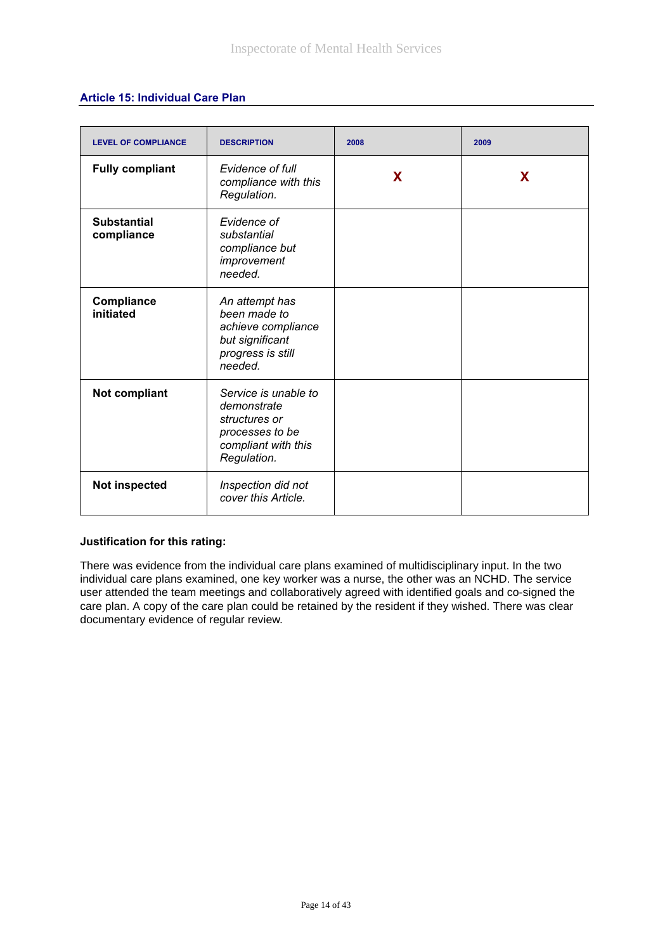#### **Article 15: Individual Care Plan**

| <b>LEVEL OF COMPLIANCE</b>       | <b>DESCRIPTION</b>                                                                                            | 2008 | 2009 |
|----------------------------------|---------------------------------------------------------------------------------------------------------------|------|------|
| <b>Fully compliant</b>           | Evidence of full<br>compliance with this<br>Regulation.                                                       | X    | X    |
| <b>Substantial</b><br>compliance | Evidence of<br>substantial<br>compliance but<br>improvement<br>needed.                                        |      |      |
| Compliance<br>initiated          | An attempt has<br>been made to<br>achieve compliance<br>but significant<br>progress is still<br>needed.       |      |      |
| Not compliant                    | Service is unable to<br>demonstrate<br>structures or<br>processes to be<br>compliant with this<br>Regulation. |      |      |
| <b>Not inspected</b>             | Inspection did not<br>cover this Article.                                                                     |      |      |

## **Justification for this rating:**

There was evidence from the individual care plans examined of multidisciplinary input. In the two individual care plans examined, one key worker was a nurse, the other was an NCHD. The service user attended the team meetings and collaboratively agreed with identified goals and co-signed the care plan. A copy of the care plan could be retained by the resident if they wished. There was clear documentary evidence of regular review.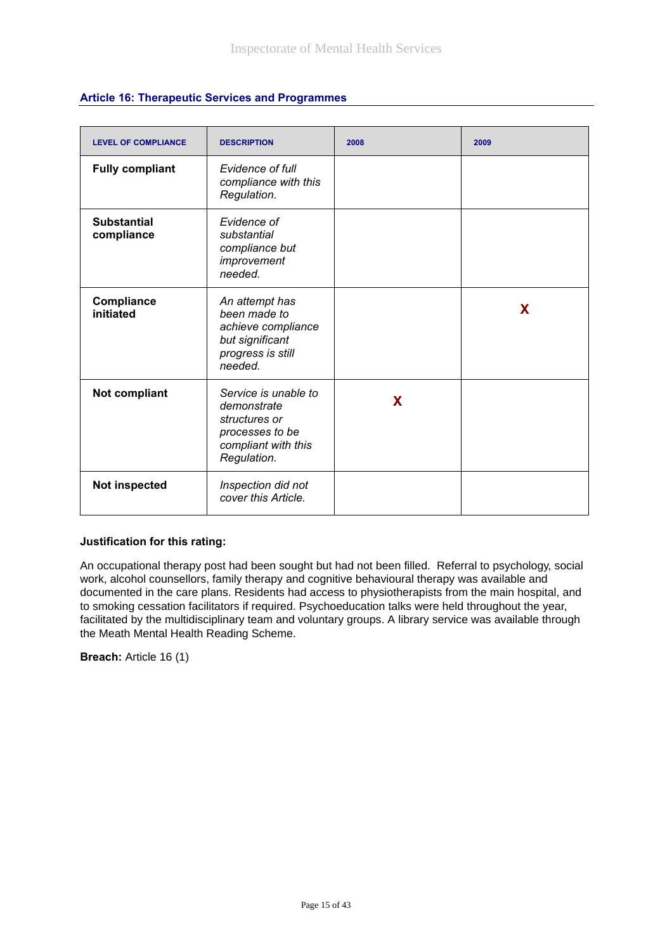| <b>LEVEL OF COMPLIANCE</b>       | <b>DESCRIPTION</b>                                                                                            | 2008 | 2009 |
|----------------------------------|---------------------------------------------------------------------------------------------------------------|------|------|
| <b>Fully compliant</b>           | Evidence of full<br>compliance with this<br>Regulation.                                                       |      |      |
| <b>Substantial</b><br>compliance | Evidence of<br>substantial<br>compliance but<br>improvement<br>needed.                                        |      |      |
| Compliance<br>initiated          | An attempt has<br>been made to<br>achieve compliance<br>but significant<br>progress is still<br>needed.       |      | X    |
| Not compliant                    | Service is unable to<br>demonstrate<br>structures or<br>processes to be<br>compliant with this<br>Regulation. | X    |      |
| Not inspected                    | Inspection did not<br>cover this Article.                                                                     |      |      |

## **Article 16: Therapeutic Services and Programmes**

#### **Justification for this rating:**

An occupational therapy post had been sought but had not been filled. Referral to psychology, social work, alcohol counsellors, family therapy and cognitive behavioural therapy was available and documented in the care plans. Residents had access to physiotherapists from the main hospital, and to smoking cessation facilitators if required. Psychoeducation talks were held throughout the year, facilitated by the multidisciplinary team and voluntary groups. A library service was available through the Meath Mental Health Reading Scheme.

**Breach:** Article 16 (1)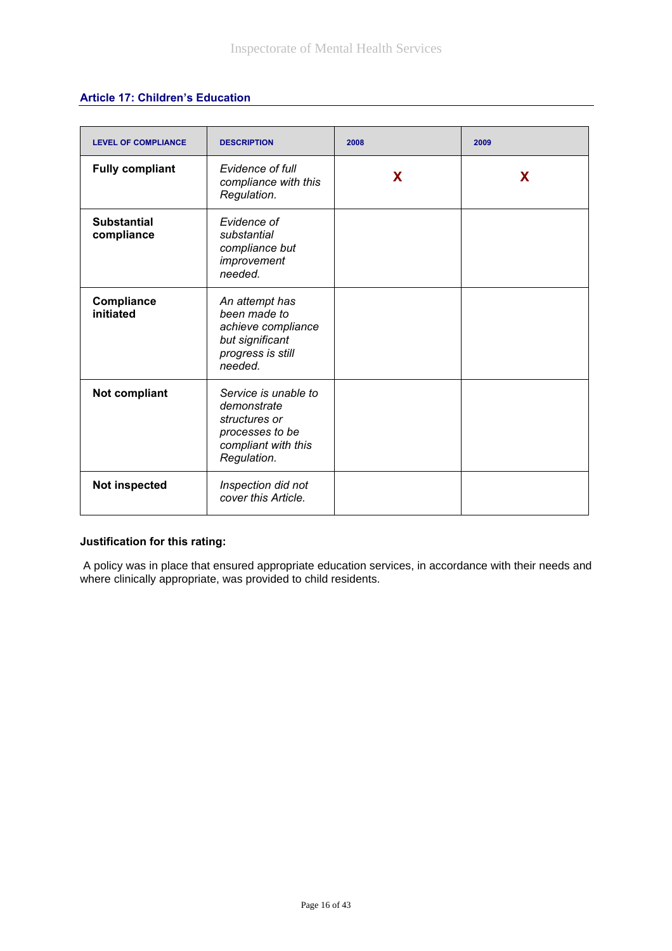## **Article 17: Children's Education**

| <b>LEVEL OF COMPLIANCE</b>       | <b>DESCRIPTION</b>                                                                                            | 2008 | 2009 |
|----------------------------------|---------------------------------------------------------------------------------------------------------------|------|------|
| <b>Fully compliant</b>           | Evidence of full<br>compliance with this<br>Regulation.                                                       | X    | X    |
| <b>Substantial</b><br>compliance | Evidence of<br>substantial<br>compliance but<br>improvement<br>needed.                                        |      |      |
| Compliance<br>initiated          | An attempt has<br>been made to<br>achieve compliance<br>but significant<br>progress is still<br>needed.       |      |      |
| <b>Not compliant</b>             | Service is unable to<br>demonstrate<br>structures or<br>processes to be<br>compliant with this<br>Regulation. |      |      |
| Not inspected                    | Inspection did not<br>cover this Article.                                                                     |      |      |

## **Justification for this rating:**

 A policy was in place that ensured appropriate education services, in accordance with their needs and where clinically appropriate, was provided to child residents.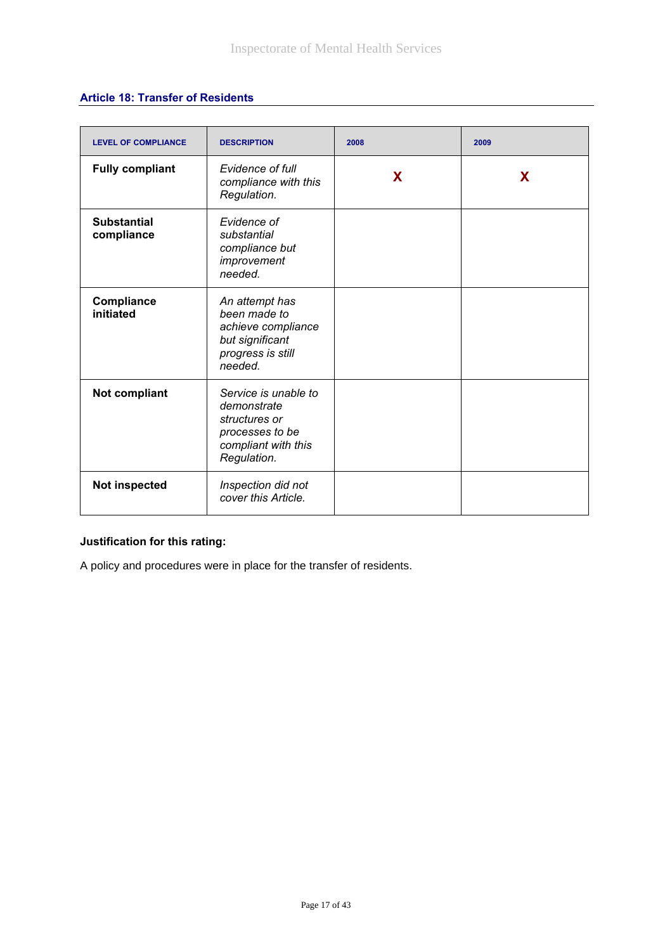## **Article 18: Transfer of Residents**

| <b>LEVEL OF COMPLIANCE</b>       | <b>DESCRIPTION</b>                                                                                            | 2008 | 2009 |
|----------------------------------|---------------------------------------------------------------------------------------------------------------|------|------|
| <b>Fully compliant</b>           | Evidence of full<br>compliance with this<br>Regulation.                                                       | X    | X    |
| <b>Substantial</b><br>compliance | Evidence of<br>substantial<br>compliance but<br>improvement<br>needed.                                        |      |      |
| Compliance<br>initiated          | An attempt has<br>been made to<br>achieve compliance<br>but significant<br>progress is still<br>needed.       |      |      |
| <b>Not compliant</b>             | Service is unable to<br>demonstrate<br>structures or<br>processes to be<br>compliant with this<br>Regulation. |      |      |
| Not inspected                    | Inspection did not<br>cover this Article.                                                                     |      |      |

# **Justification for this rating:**

A policy and procedures were in place for the transfer of residents.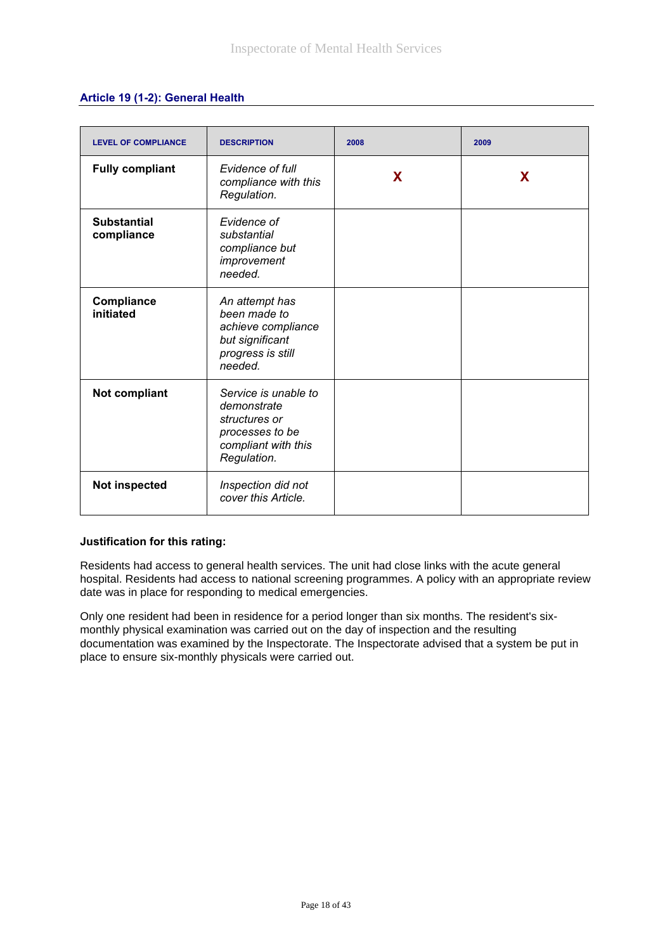## **Article 19 (1-2): General Health**

| <b>LEVEL OF COMPLIANCE</b>       | <b>DESCRIPTION</b>                                                                                            | 2008 | 2009 |
|----------------------------------|---------------------------------------------------------------------------------------------------------------|------|------|
| <b>Fully compliant</b>           | Evidence of full<br>compliance with this<br>Regulation.                                                       | X    | X    |
| <b>Substantial</b><br>compliance | Evidence of<br>substantial<br>compliance but<br>improvement<br>needed.                                        |      |      |
| Compliance<br>initiated          | An attempt has<br>been made to<br>achieve compliance<br>but significant<br>progress is still<br>needed.       |      |      |
| Not compliant                    | Service is unable to<br>demonstrate<br>structures or<br>processes to be<br>compliant with this<br>Regulation. |      |      |
| Not inspected                    | Inspection did not<br>cover this Article.                                                                     |      |      |

#### **Justification for this rating:**

Residents had access to general health services. The unit had close links with the acute general hospital. Residents had access to national screening programmes. A policy with an appropriate review date was in place for responding to medical emergencies.

Only one resident had been in residence for a period longer than six months. The resident's sixmonthly physical examination was carried out on the day of inspection and the resulting documentation was examined by the Inspectorate. The Inspectorate advised that a system be put in place to ensure six-monthly physicals were carried out.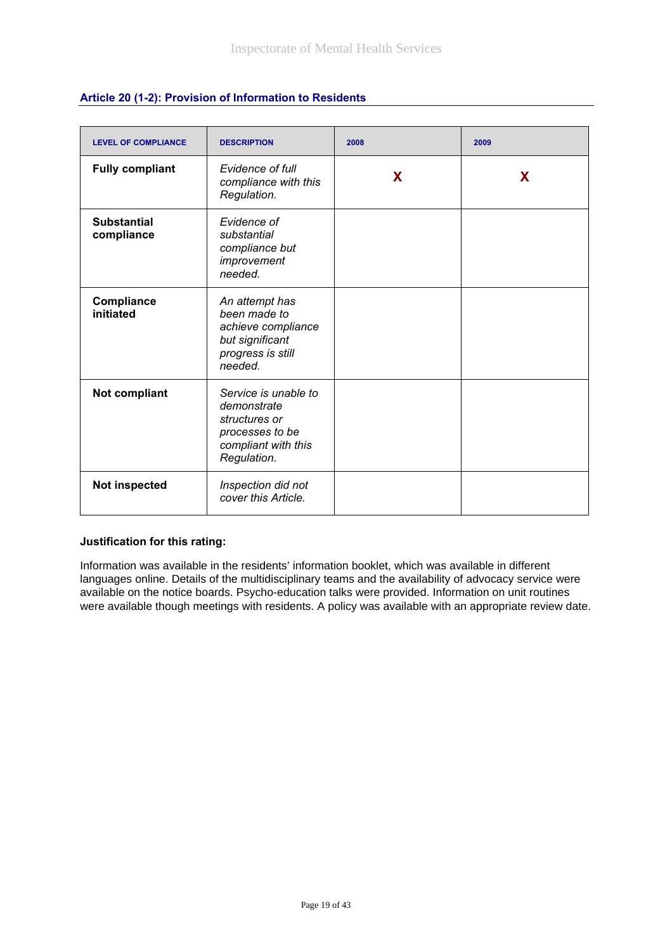| <b>LEVEL OF COMPLIANCE</b>       | <b>DESCRIPTION</b>                                                                                            | 2008 | 2009 |
|----------------------------------|---------------------------------------------------------------------------------------------------------------|------|------|
| <b>Fully compliant</b>           | Evidence of full<br>compliance with this<br>Regulation.                                                       | X    | X    |
| <b>Substantial</b><br>compliance | Evidence of<br>substantial<br>compliance but<br>improvement<br>needed.                                        |      |      |
| Compliance<br>initiated          | An attempt has<br>been made to<br>achieve compliance<br>but significant<br>progress is still<br>needed.       |      |      |
| Not compliant                    | Service is unable to<br>demonstrate<br>structures or<br>processes to be<br>compliant with this<br>Regulation. |      |      |
| <b>Not inspected</b>             | Inspection did not<br>cover this Article.                                                                     |      |      |

## **Article 20 (1-2): Provision of Information to Residents**

#### **Justification for this rating:**

Information was available in the residents' information booklet, which was available in different languages online. Details of the multidisciplinary teams and the availability of advocacy service were available on the notice boards. Psycho-education talks were provided. Information on unit routines were available though meetings with residents. A policy was available with an appropriate review date.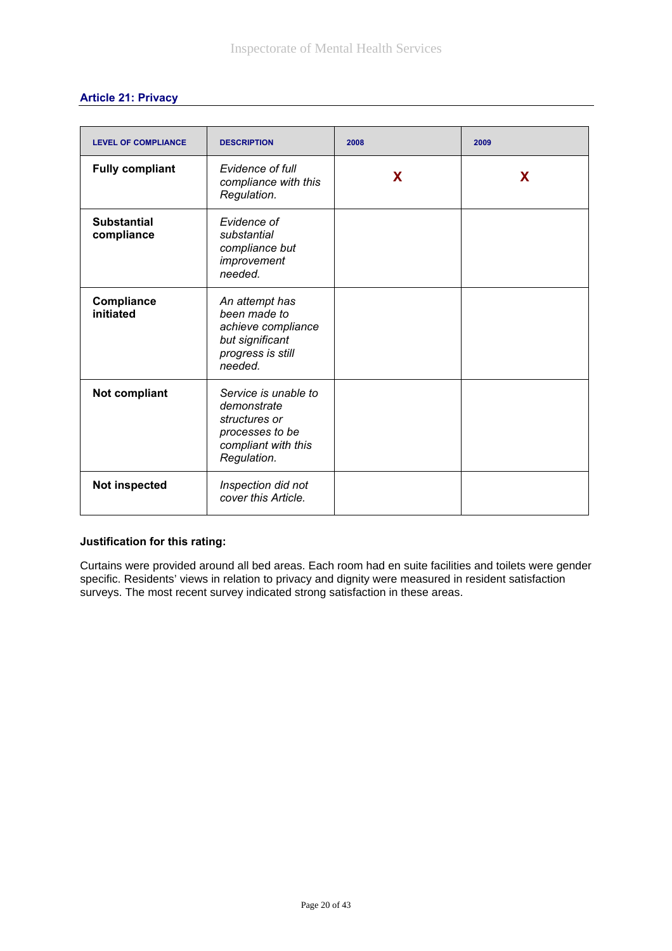## **Article 21: Privacy**

| <b>LEVEL OF COMPLIANCE</b>       | <b>DESCRIPTION</b>                                                                                            | 2008 | 2009 |
|----------------------------------|---------------------------------------------------------------------------------------------------------------|------|------|
| <b>Fully compliant</b>           | Evidence of full<br>compliance with this<br>Regulation.                                                       | X    | X    |
| <b>Substantial</b><br>compliance | Evidence of<br>substantial<br>compliance but<br>improvement<br>needed.                                        |      |      |
| Compliance<br>initiated          | An attempt has<br>been made to<br>achieve compliance<br>but significant<br>progress is still<br>needed.       |      |      |
| Not compliant                    | Service is unable to<br>demonstrate<br>structures or<br>processes to be<br>compliant with this<br>Regulation. |      |      |
| <b>Not inspected</b>             | Inspection did not<br>cover this Article.                                                                     |      |      |

#### **Justification for this rating:**

Curtains were provided around all bed areas. Each room had en suite facilities and toilets were gender specific. Residents' views in relation to privacy and dignity were measured in resident satisfaction surveys. The most recent survey indicated strong satisfaction in these areas.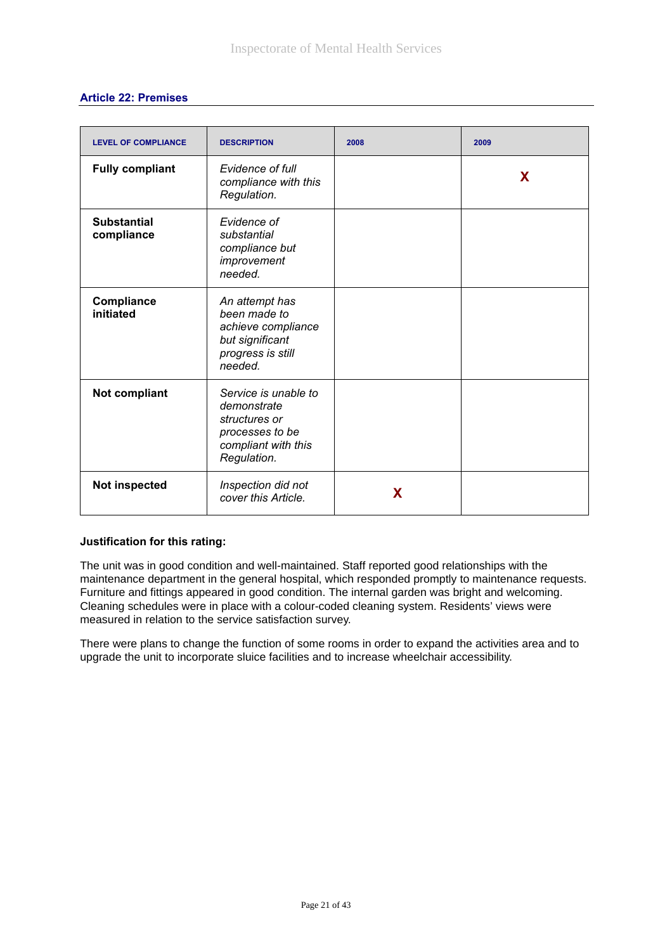|  | <b>Article 22: Premises</b> |  |
|--|-----------------------------|--|
|  |                             |  |

| <b>LEVEL OF COMPLIANCE</b>       | <b>DESCRIPTION</b>                                                                                            | 2008 | 2009 |
|----------------------------------|---------------------------------------------------------------------------------------------------------------|------|------|
| <b>Fully compliant</b>           | Evidence of full<br>compliance with this<br>Regulation.                                                       |      | X    |
| <b>Substantial</b><br>compliance | Evidence of<br>substantial<br>compliance but<br>improvement<br>needed.                                        |      |      |
| Compliance<br>initiated          | An attempt has<br>been made to<br>achieve compliance<br>but significant<br>progress is still<br>needed.       |      |      |
| <b>Not compliant</b>             | Service is unable to<br>demonstrate<br>structures or<br>processes to be<br>compliant with this<br>Regulation. |      |      |
| Not inspected                    | Inspection did not<br>cover this Article.                                                                     | X    |      |

The unit was in good condition and well-maintained. Staff reported good relationships with the maintenance department in the general hospital, which responded promptly to maintenance requests. Furniture and fittings appeared in good condition. The internal garden was bright and welcoming. Cleaning schedules were in place with a colour-coded cleaning system. Residents' views were measured in relation to the service satisfaction survey.

There were plans to change the function of some rooms in order to expand the activities area and to upgrade the unit to incorporate sluice facilities and to increase wheelchair accessibility.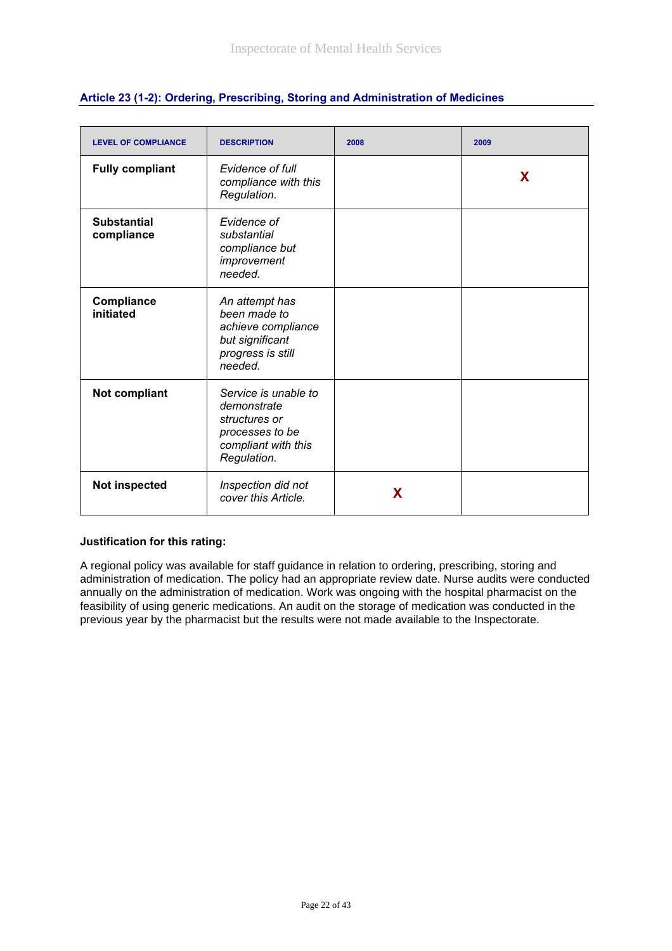| <b>LEVEL OF COMPLIANCE</b>       | <b>DESCRIPTION</b>                                                                                            | 2008 | 2009 |
|----------------------------------|---------------------------------------------------------------------------------------------------------------|------|------|
| <b>Fully compliant</b>           | Evidence of full<br>compliance with this<br>Regulation.                                                       |      | X    |
| <b>Substantial</b><br>compliance | Evidence of<br>substantial<br>compliance but<br>improvement<br>needed.                                        |      |      |
| Compliance<br>initiated          | An attempt has<br>been made to<br>achieve compliance<br>but significant<br>progress is still<br>needed.       |      |      |
| Not compliant                    | Service is unable to<br>demonstrate<br>structures or<br>processes to be<br>compliant with this<br>Regulation. |      |      |
| Not inspected                    | Inspection did not<br>cover this Article.                                                                     | X    |      |

## **Article 23 (1-2): Ordering, Prescribing, Storing and Administration of Medicines**

## **Justification for this rating:**

A regional policy was available for staff guidance in relation to ordering, prescribing, storing and administration of medication. The policy had an appropriate review date. Nurse audits were conducted annually on the administration of medication. Work was ongoing with the hospital pharmacist on the feasibility of using generic medications. An audit on the storage of medication was conducted in the previous year by the pharmacist but the results were not made available to the Inspectorate.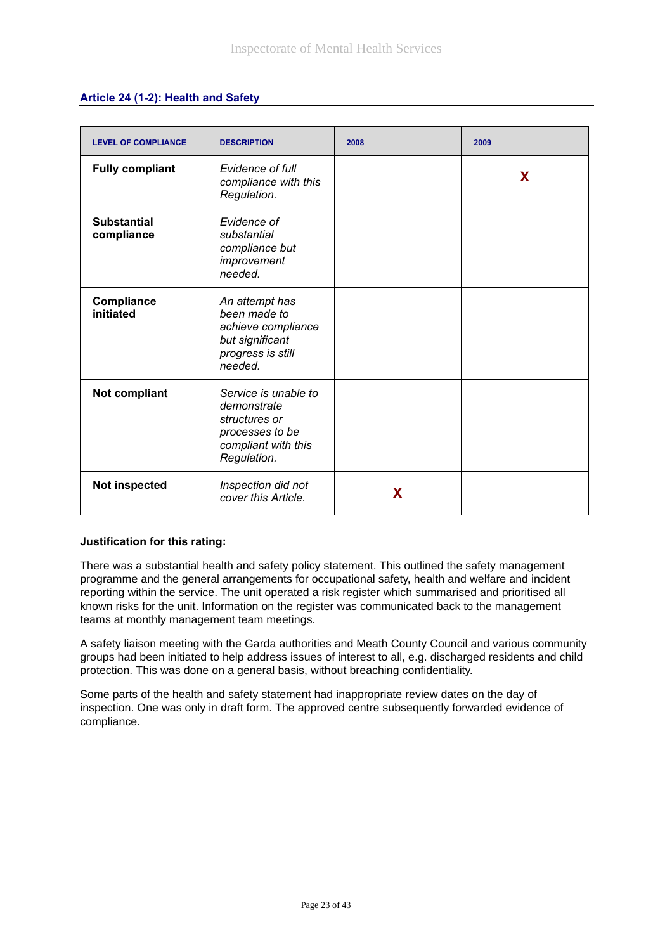|  | Article 24 (1-2): Health and Safety |  |
|--|-------------------------------------|--|
|--|-------------------------------------|--|

| <b>LEVEL OF COMPLIANCE</b>       | <b>DESCRIPTION</b>                                                                                            | 2008 | 2009 |
|----------------------------------|---------------------------------------------------------------------------------------------------------------|------|------|
| <b>Fully compliant</b>           | Evidence of full<br>compliance with this<br>Regulation.                                                       |      | X    |
| <b>Substantial</b><br>compliance | Evidence of<br>substantial<br>compliance but<br>improvement<br>needed.                                        |      |      |
| Compliance<br>initiated          | An attempt has<br>been made to<br>achieve compliance<br>but significant<br>progress is still<br>needed.       |      |      |
| <b>Not compliant</b>             | Service is unable to<br>demonstrate<br>structures or<br>processes to be<br>compliant with this<br>Regulation. |      |      |
| Not inspected                    | Inspection did not<br>cover this Article.                                                                     | X    |      |

There was a substantial health and safety policy statement. This outlined the safety management programme and the general arrangements for occupational safety, health and welfare and incident reporting within the service. The unit operated a risk register which summarised and prioritised all known risks for the unit. Information on the register was communicated back to the management teams at monthly management team meetings.

A safety liaison meeting with the Garda authorities and Meath County Council and various community groups had been initiated to help address issues of interest to all, e.g. discharged residents and child protection. This was done on a general basis, without breaching confidentiality.

Some parts of the health and safety statement had inappropriate review dates on the day of inspection. One was only in draft form. The approved centre subsequently forwarded evidence of compliance.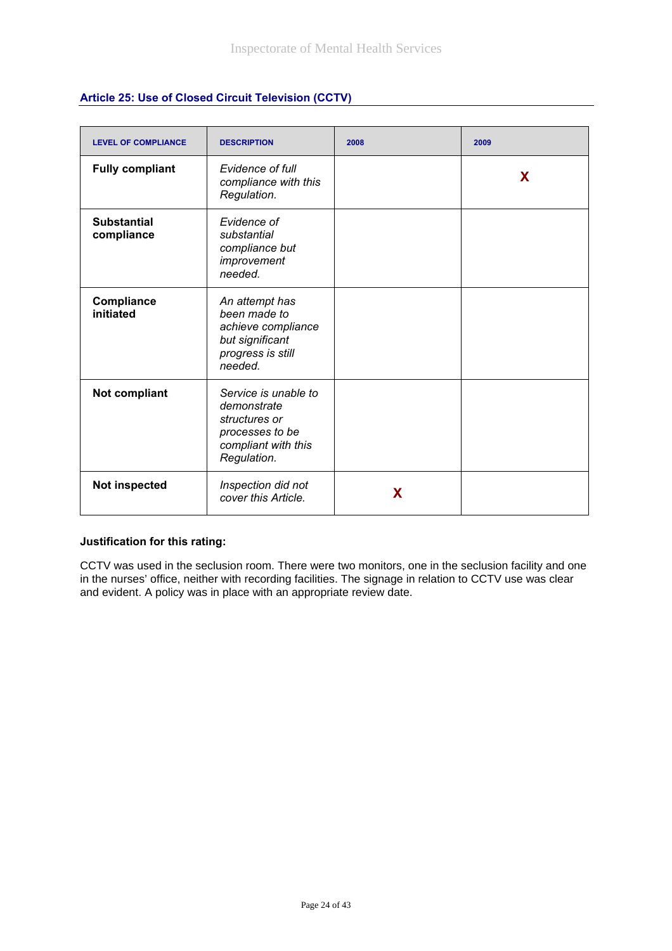| Article 25: Use of Closed Circuit Television (CCTV) |  |  |
|-----------------------------------------------------|--|--|
|-----------------------------------------------------|--|--|

| <b>LEVEL OF COMPLIANCE</b>       | <b>DESCRIPTION</b>                                                                                            | 2008 | 2009 |
|----------------------------------|---------------------------------------------------------------------------------------------------------------|------|------|
| <b>Fully compliant</b>           | Evidence of full<br>compliance with this<br>Regulation.                                                       |      | X    |
| <b>Substantial</b><br>compliance | Evidence of<br>substantial<br>compliance but<br>improvement<br>needed.                                        |      |      |
| Compliance<br>initiated          | An attempt has<br>been made to<br>achieve compliance<br>but significant<br>progress is still<br>needed.       |      |      |
| Not compliant                    | Service is unable to<br>demonstrate<br>structures or<br>processes to be<br>compliant with this<br>Regulation. |      |      |
| Not inspected                    | Inspection did not<br>cover this Article.                                                                     | X    |      |

CCTV was used in the seclusion room. There were two monitors, one in the seclusion facility and one in the nurses' office, neither with recording facilities. The signage in relation to CCTV use was clear and evident. A policy was in place with an appropriate review date.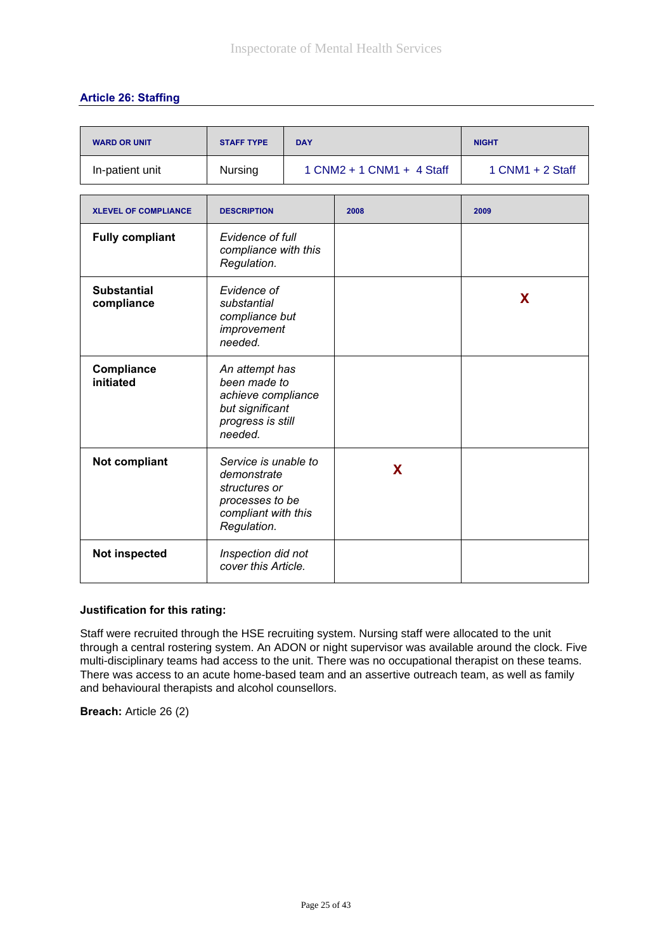## **Article 26: Staffing**

| <b>WARD OR UNIT</b>              | <b>STAFF TYPE</b>                                                                                             | <b>DAY</b>                |      | <b>NIGHT</b>       |
|----------------------------------|---------------------------------------------------------------------------------------------------------------|---------------------------|------|--------------------|
| In-patient unit                  | Nursing                                                                                                       | 1 CNM2 + 1 CNM1 + 4 Staff |      | $1$ CNM1 + 2 Staff |
| <b>XLEVEL OF COMPLIANCE</b>      | <b>DESCRIPTION</b>                                                                                            |                           | 2008 | 2009               |
| <b>Fully compliant</b>           | Evidence of full<br>compliance with this<br>Regulation.                                                       |                           |      |                    |
| <b>Substantial</b><br>compliance | Evidence of<br>substantial<br>compliance but<br>improvement<br>needed.                                        |                           |      | X                  |
| Compliance<br>initiated          | An attempt has<br>been made to<br>achieve compliance<br>but significant<br>progress is still<br>needed.       |                           |      |                    |
| Not compliant                    | Service is unable to<br>demonstrate<br>structures or<br>processes to be<br>compliant with this<br>Regulation. |                           | X    |                    |
| Not inspected                    | Inspection did not<br>cover this Article.                                                                     |                           |      |                    |

#### **Justification for this rating:**

Staff were recruited through the HSE recruiting system. Nursing staff were allocated to the unit through a central rostering system. An ADON or night supervisor was available around the clock. Five multi-disciplinary teams had access to the unit. There was no occupational therapist on these teams. There was access to an acute home-based team and an assertive outreach team, as well as family and behavioural therapists and alcohol counsellors.

**Breach:** Article 26 (2)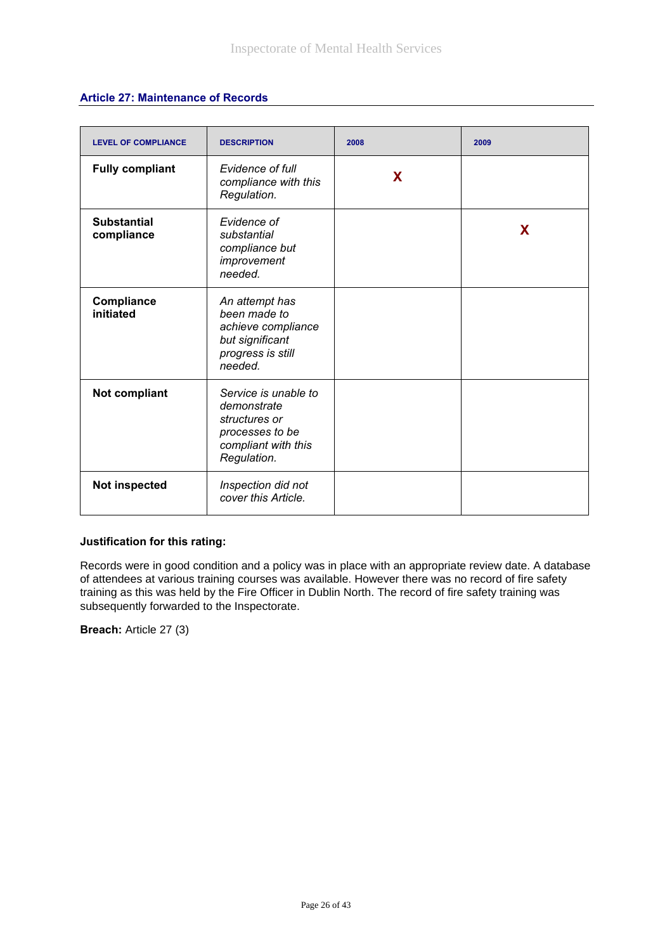## **Article 27: Maintenance of Records**

| <b>LEVEL OF COMPLIANCE</b>       | <b>DESCRIPTION</b>                                                                                            | 2008 | 2009 |
|----------------------------------|---------------------------------------------------------------------------------------------------------------|------|------|
| <b>Fully compliant</b>           | Evidence of full<br>compliance with this<br>Regulation.                                                       | X    |      |
| <b>Substantial</b><br>compliance | Evidence of<br>substantial<br>compliance but<br>improvement<br>needed.                                        |      | X    |
| Compliance<br>initiated          | An attempt has<br>been made to<br>achieve compliance<br>but significant<br>progress is still<br>needed.       |      |      |
| Not compliant                    | Service is unable to<br>demonstrate<br>structures or<br>processes to be<br>compliant with this<br>Regulation. |      |      |
| Not inspected                    | Inspection did not<br>cover this Article.                                                                     |      |      |

#### **Justification for this rating:**

Records were in good condition and a policy was in place with an appropriate review date. A database of attendees at various training courses was available. However there was no record of fire safety training as this was held by the Fire Officer in Dublin North. The record of fire safety training was subsequently forwarded to the Inspectorate.

**Breach:** Article 27 (3)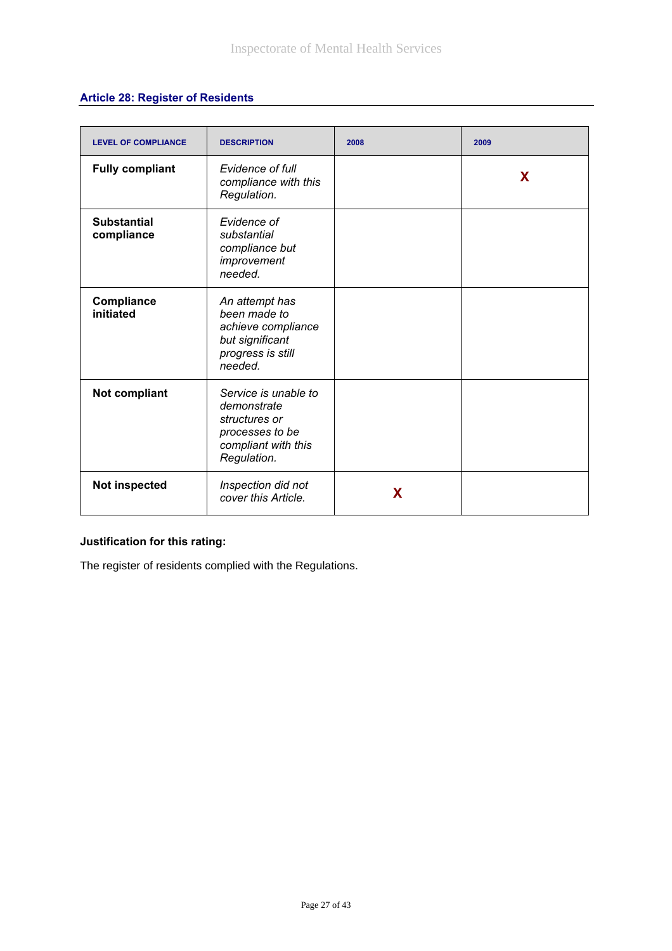# **Article 28: Register of Residents**

| <b>LEVEL OF COMPLIANCE</b>       | <b>DESCRIPTION</b>                                                                                            | 2008 | 2009 |
|----------------------------------|---------------------------------------------------------------------------------------------------------------|------|------|
| <b>Fully compliant</b>           | Evidence of full<br>compliance with this<br>Regulation.                                                       |      | X    |
| <b>Substantial</b><br>compliance | Evidence of<br>substantial<br>compliance but<br>improvement<br>needed.                                        |      |      |
| Compliance<br>initiated          | An attempt has<br>been made to<br>achieve compliance<br>but significant<br>progress is still<br>needed.       |      |      |
| Not compliant                    | Service is unable to<br>demonstrate<br>structures or<br>processes to be<br>compliant with this<br>Regulation. |      |      |
| Not inspected                    | Inspection did not<br>cover this Article.                                                                     | X    |      |

# **Justification for this rating:**

The register of residents complied with the Regulations.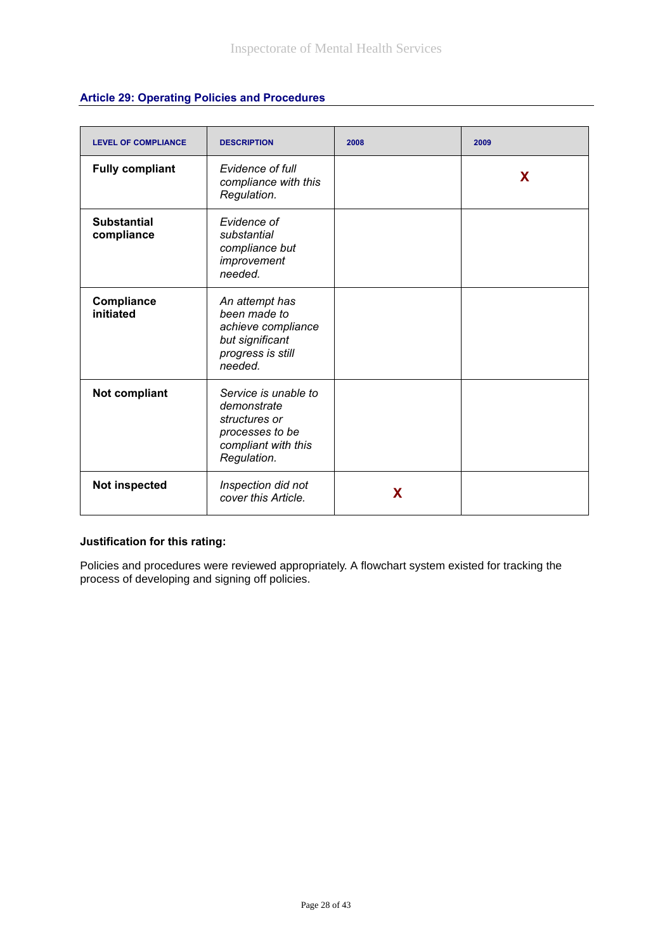| <b>LEVEL OF COMPLIANCE</b>       | <b>DESCRIPTION</b>                                                                                            | 2008 | 2009 |
|----------------------------------|---------------------------------------------------------------------------------------------------------------|------|------|
| <b>Fully compliant</b>           | Evidence of full<br>compliance with this<br>Regulation.                                                       |      | X    |
| <b>Substantial</b><br>compliance | Evidence of<br>substantial<br>compliance but<br>improvement<br>needed.                                        |      |      |
| Compliance<br>initiated          | An attempt has<br>been made to<br>achieve compliance<br>but significant<br>progress is still<br>needed.       |      |      |
| Not compliant                    | Service is unable to<br>demonstrate<br>structures or<br>processes to be<br>compliant with this<br>Regulation. |      |      |
| Not inspected                    | Inspection did not<br>cover this Article.                                                                     | X    |      |

Policies and procedures were reviewed appropriately. A flowchart system existed for tracking the process of developing and signing off policies.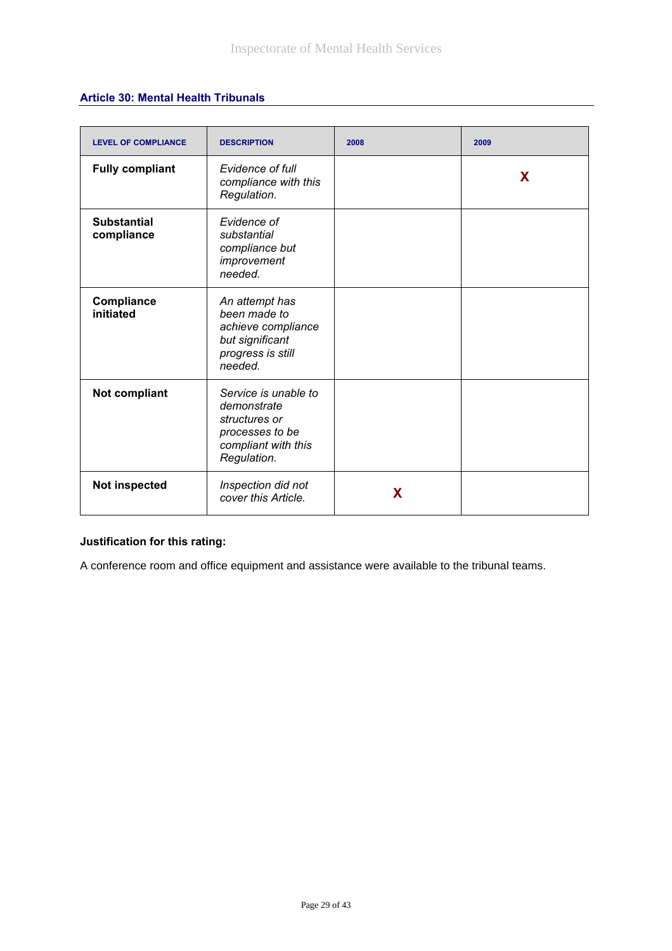## **Article 30: Mental Health Tribunals**

| <b>LEVEL OF COMPLIANCE</b>       | <b>DESCRIPTION</b>                                                                                            | 2008 | 2009 |
|----------------------------------|---------------------------------------------------------------------------------------------------------------|------|------|
| <b>Fully compliant</b>           | Evidence of full<br>compliance with this<br>Regulation.                                                       |      | X    |
| <b>Substantial</b><br>compliance | Evidence of<br>substantial<br>compliance but<br>improvement<br>needed.                                        |      |      |
| Compliance<br>initiated          | An attempt has<br>been made to<br>achieve compliance<br>but significant<br>progress is still<br>needed.       |      |      |
| Not compliant                    | Service is unable to<br>demonstrate<br>structures or<br>processes to be<br>compliant with this<br>Regulation. |      |      |
| Not inspected                    | Inspection did not<br>cover this Article.                                                                     | X    |      |

# **Justification for this rating:**

A conference room and office equipment and assistance were available to the tribunal teams.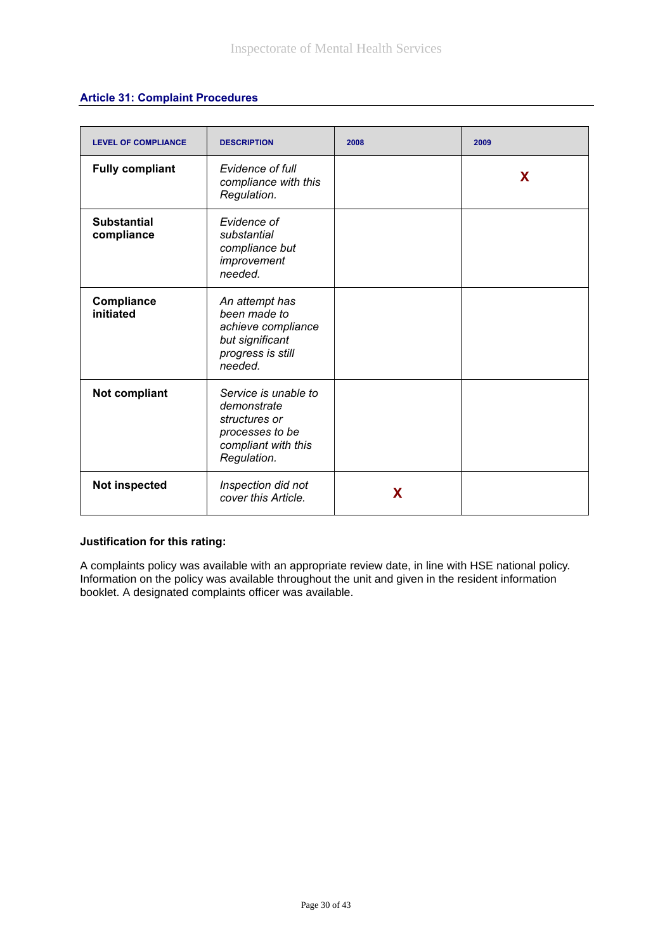#### **Article 31: Complaint Procedures**

| <b>LEVEL OF COMPLIANCE</b>       | <b>DESCRIPTION</b>                                                                                            | 2008 | 2009 |
|----------------------------------|---------------------------------------------------------------------------------------------------------------|------|------|
| <b>Fully compliant</b>           | Evidence of full<br>compliance with this<br>Regulation.                                                       |      | X    |
| <b>Substantial</b><br>compliance | Evidence of<br>substantial<br>compliance but<br>improvement<br>needed.                                        |      |      |
| <b>Compliance</b><br>initiated   | An attempt has<br>been made to<br>achieve compliance<br>but significant<br>progress is still<br>needed.       |      |      |
| Not compliant                    | Service is unable to<br>demonstrate<br>structures or<br>processes to be<br>compliant with this<br>Regulation. |      |      |
| Not inspected                    | Inspection did not<br>cover this Article.                                                                     | X    |      |

#### **Justification for this rating:**

A complaints policy was available with an appropriate review date, in line with HSE national policy. Information on the policy was available throughout the unit and given in the resident information booklet. A designated complaints officer was available.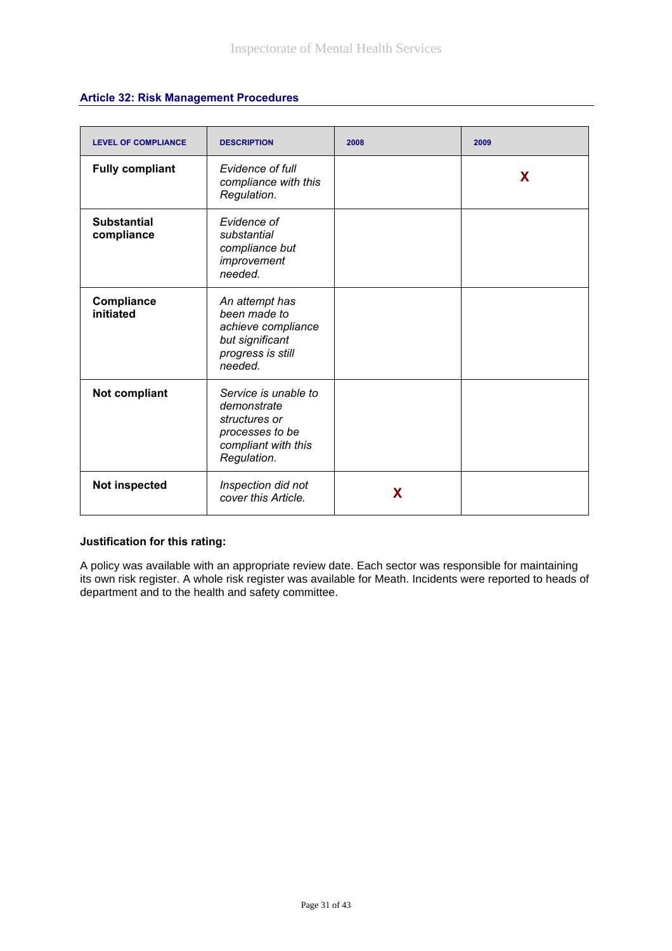|  | <b>Article 32: Risk Management Procedures</b> |  |
|--|-----------------------------------------------|--|
|--|-----------------------------------------------|--|

| <b>LEVEL OF COMPLIANCE</b>       | <b>DESCRIPTION</b>                                                                                            | 2008 | 2009 |
|----------------------------------|---------------------------------------------------------------------------------------------------------------|------|------|
| <b>Fully compliant</b>           | Evidence of full<br>compliance with this<br>Regulation.                                                       |      | X    |
| <b>Substantial</b><br>compliance | Evidence of<br>substantial<br>compliance but<br>improvement<br>needed.                                        |      |      |
| Compliance<br>initiated          | An attempt has<br>been made to<br>achieve compliance<br>but significant<br>progress is still<br>needed.       |      |      |
| Not compliant                    | Service is unable to<br>demonstrate<br>structures or<br>processes to be<br>compliant with this<br>Regulation. |      |      |
| <b>Not inspected</b>             | Inspection did not<br>cover this Article.                                                                     | X    |      |

A policy was available with an appropriate review date. Each sector was responsible for maintaining its own risk register. A whole risk register was available for Meath. Incidents were reported to heads of department and to the health and safety committee.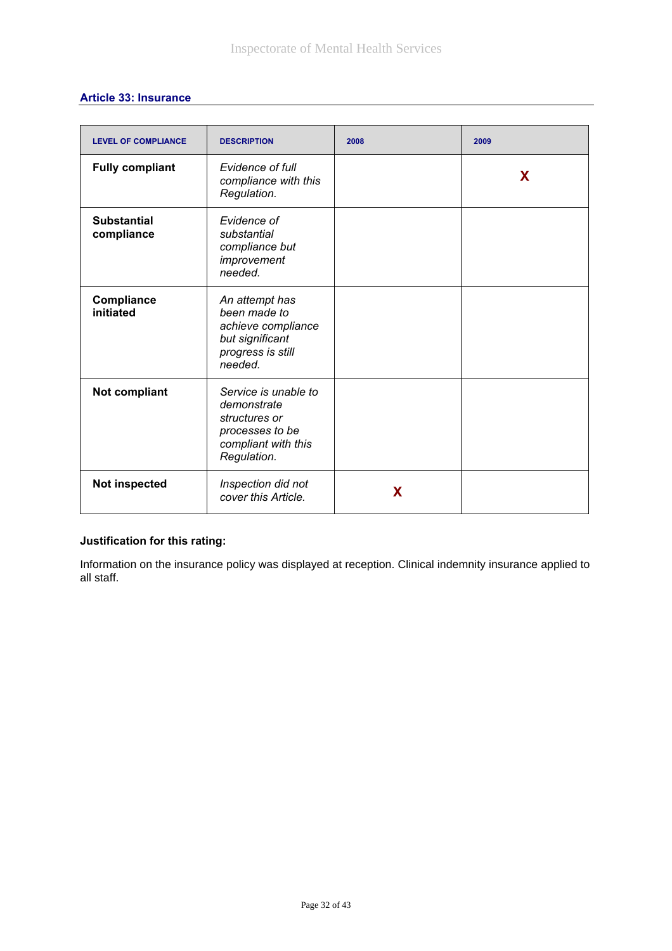|  |  |  | <b>Article 33: Insurance</b> |
|--|--|--|------------------------------|
|--|--|--|------------------------------|

| <b>LEVEL OF COMPLIANCE</b>       | <b>DESCRIPTION</b>                                                                                            | 2008 | 2009 |
|----------------------------------|---------------------------------------------------------------------------------------------------------------|------|------|
| <b>Fully compliant</b>           | Evidence of full<br>compliance with this<br>Regulation.                                                       |      | X    |
| <b>Substantial</b><br>compliance | Evidence of<br>substantial<br>compliance but<br>improvement<br>needed.                                        |      |      |
| Compliance<br>initiated          | An attempt has<br>been made to<br>achieve compliance<br>but significant<br>progress is still<br>needed.       |      |      |
| Not compliant                    | Service is unable to<br>demonstrate<br>structures or<br>processes to be<br>compliant with this<br>Regulation. |      |      |
| Not inspected                    | Inspection did not<br>cover this Article.                                                                     | X    |      |

Information on the insurance policy was displayed at reception. Clinical indemnity insurance applied to all staff.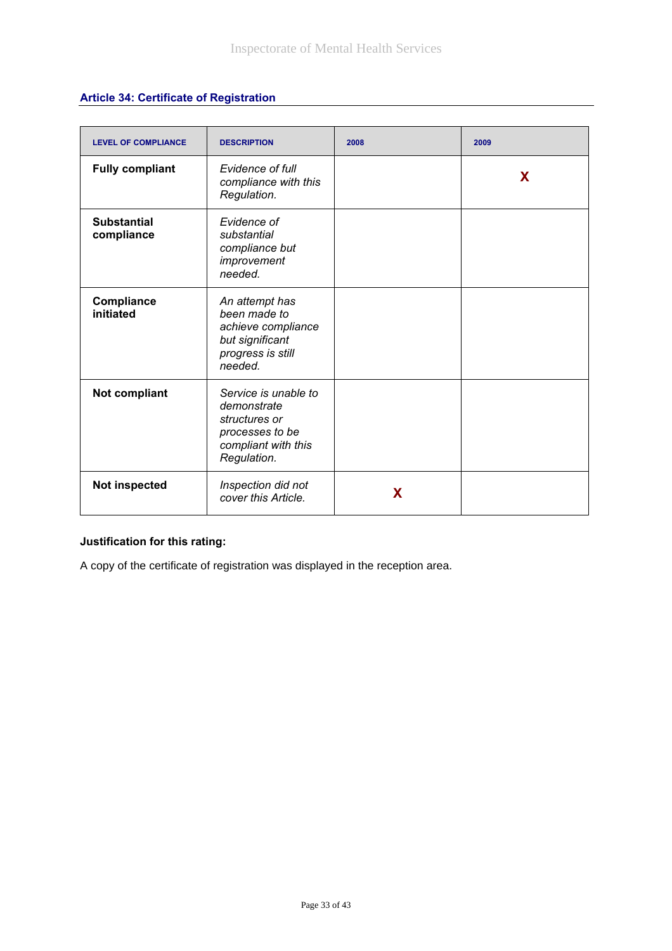# **Article 34: Certificate of Registration**

| <b>LEVEL OF COMPLIANCE</b>       | <b>DESCRIPTION</b>                                                                                            | 2008 | 2009 |
|----------------------------------|---------------------------------------------------------------------------------------------------------------|------|------|
| <b>Fully compliant</b>           | Evidence of full<br>compliance with this<br>Regulation.                                                       |      | X    |
| <b>Substantial</b><br>compliance | Evidence of<br>substantial<br>compliance but<br>improvement<br>needed.                                        |      |      |
| Compliance<br>initiated          | An attempt has<br>been made to<br>achieve compliance<br>but significant<br>progress is still<br>needed.       |      |      |
| Not compliant                    | Service is unable to<br>demonstrate<br>structures or<br>processes to be<br>compliant with this<br>Regulation. |      |      |
| Not inspected                    | Inspection did not<br>cover this Article.                                                                     | X    |      |

# **Justification for this rating:**

A copy of the certificate of registration was displayed in the reception area.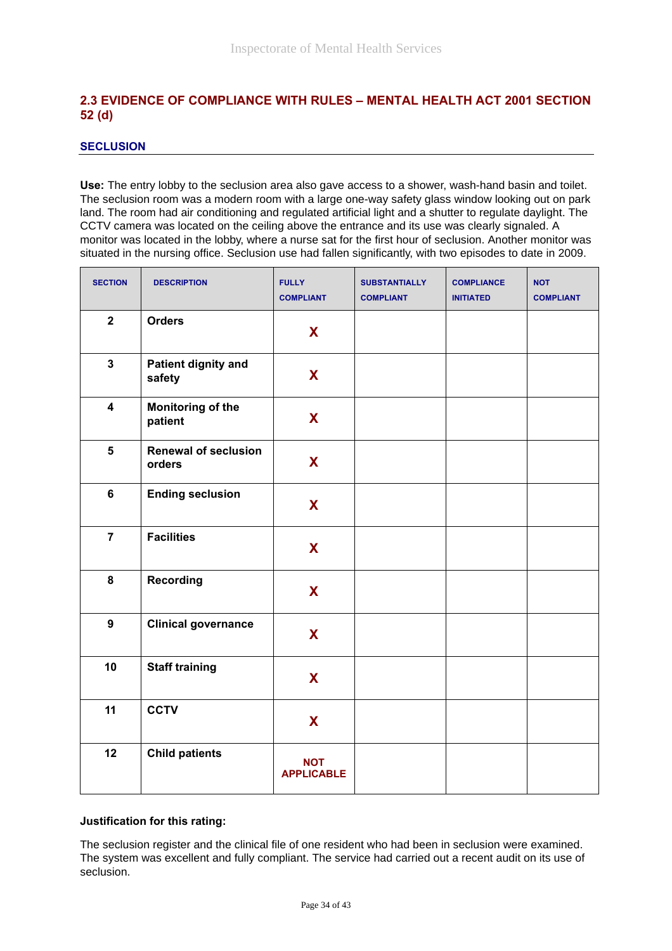## **2.3 EVIDENCE OF COMPLIANCE WITH RULES – MENTAL HEALTH ACT 2001 SECTION 52 (d)**

#### **SECLUSION**

**Use:** The entry lobby to the seclusion area also gave access to a shower, wash-hand basin and toilet. The seclusion room was a modern room with a large one-way safety glass window looking out on park land. The room had air conditioning and regulated artificial light and a shutter to regulate daylight. The CCTV camera was located on the ceiling above the entrance and its use was clearly signaled. A monitor was located in the lobby, where a nurse sat for the first hour of seclusion. Another monitor was situated in the nursing office. Seclusion use had fallen significantly, with two episodes to date in 2009.

| <b>SECTION</b>          | <b>DESCRIPTION</b>                    | <b>FULLY</b><br><b>COMPLIANT</b> | <b>SUBSTANTIALLY</b><br><b>COMPLIANT</b> | <b>COMPLIANCE</b><br><b>INITIATED</b> | <b>NOT</b><br><b>COMPLIANT</b> |
|-------------------------|---------------------------------------|----------------------------------|------------------------------------------|---------------------------------------|--------------------------------|
| $\mathbf{2}$            | <b>Orders</b>                         | X                                |                                          |                                       |                                |
| $\mathbf{3}$            | <b>Patient dignity and</b><br>safety  | X                                |                                          |                                       |                                |
| $\overline{\mathbf{4}}$ | <b>Monitoring of the</b><br>patient   | X                                |                                          |                                       |                                |
| $5\phantom{a}$          | <b>Renewal of seclusion</b><br>orders | X                                |                                          |                                       |                                |
| $6\phantom{1}$          | <b>Ending seclusion</b>               | X                                |                                          |                                       |                                |
| $\overline{7}$          | <b>Facilities</b>                     | X                                |                                          |                                       |                                |
| 8                       | <b>Recording</b>                      | X                                |                                          |                                       |                                |
| 9                       | <b>Clinical governance</b>            | X                                |                                          |                                       |                                |
| 10                      | <b>Staff training</b>                 | X                                |                                          |                                       |                                |
| 11                      | <b>CCTV</b>                           | X                                |                                          |                                       |                                |
| 12                      | <b>Child patients</b>                 | <b>NOT</b><br><b>APPLICABLE</b>  |                                          |                                       |                                |

#### **Justification for this rating:**

The seclusion register and the clinical file of one resident who had been in seclusion were examined. The system was excellent and fully compliant. The service had carried out a recent audit on its use of seclusion.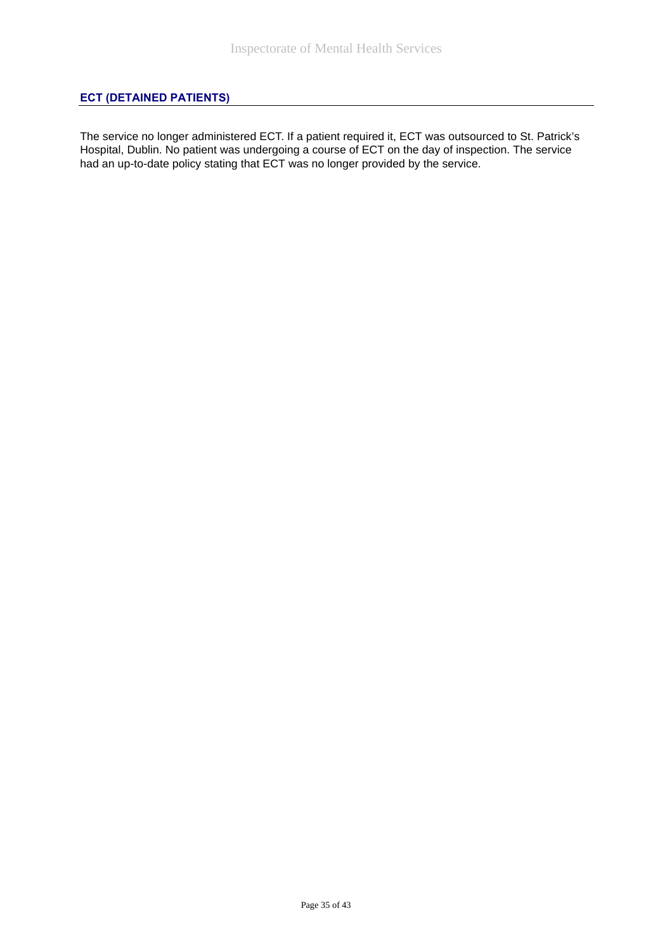## **ECT (DETAINED PATIENTS)**

The service no longer administered ECT. If a patient required it, ECT was outsourced to St. Patrick's Hospital, Dublin. No patient was undergoing a course of ECT on the day of inspection. The service had an up-to-date policy stating that ECT was no longer provided by the service.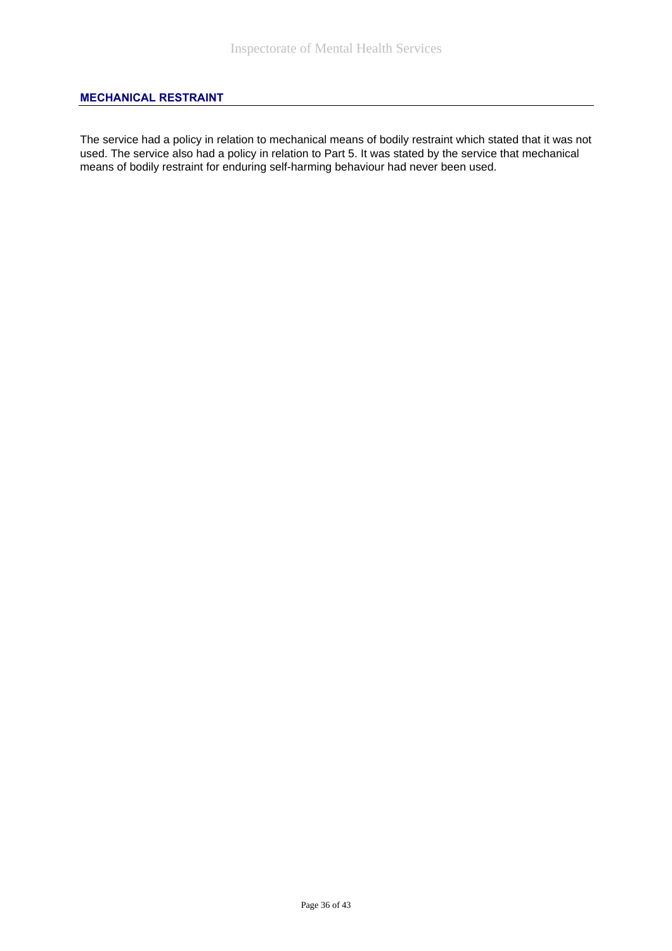#### **MECHANICAL RESTRAINT**

The service had a policy in relation to mechanical means of bodily restraint which stated that it was not used. The service also had a policy in relation to Part 5. It was stated by the service that mechanical means of bodily restraint for enduring self-harming behaviour had never been used.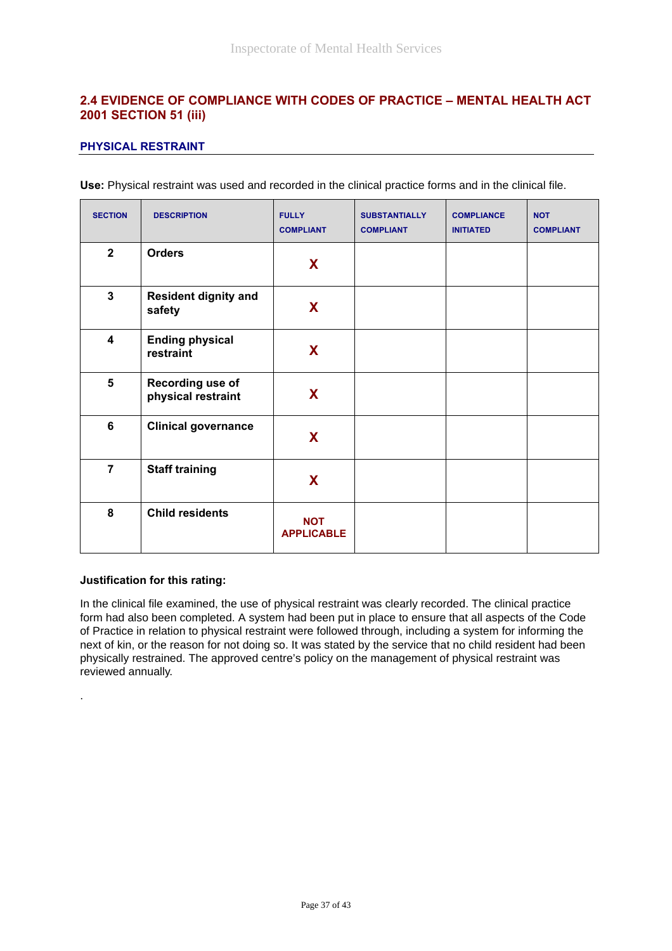## **2.4 EVIDENCE OF COMPLIANCE WITH CODES OF PRACTICE – MENTAL HEALTH ACT 2001 SECTION 51 (iii)**

#### **PHYSICAL RESTRAINT**

**Use:** Physical restraint was used and recorded in the clinical practice forms and in the clinical file.

| <b>SECTION</b>          | <b>DESCRIPTION</b>                     | <b>FULLY</b><br><b>COMPLIANT</b> | <b>SUBSTANTIALLY</b><br><b>COMPLIANT</b> | <b>COMPLIANCE</b><br><b>INITIATED</b> | <b>NOT</b><br><b>COMPLIANT</b> |
|-------------------------|----------------------------------------|----------------------------------|------------------------------------------|---------------------------------------|--------------------------------|
| $\overline{2}$          | <b>Orders</b>                          | X                                |                                          |                                       |                                |
| $\mathbf{3}$            | <b>Resident dignity and</b><br>safety  | X                                |                                          |                                       |                                |
| $\overline{\mathbf{4}}$ | <b>Ending physical</b><br>restraint    | X                                |                                          |                                       |                                |
| 5                       | Recording use of<br>physical restraint | X                                |                                          |                                       |                                |
| 6                       | <b>Clinical governance</b>             | X                                |                                          |                                       |                                |
| $\overline{7}$          | <b>Staff training</b>                  | X                                |                                          |                                       |                                |
| 8                       | <b>Child residents</b>                 | <b>NOT</b><br><b>APPLICABLE</b>  |                                          |                                       |                                |

#### **Justification for this rating:**

.

In the clinical file examined, the use of physical restraint was clearly recorded. The clinical practice form had also been completed. A system had been put in place to ensure that all aspects of the Code of Practice in relation to physical restraint were followed through, including a system for informing the next of kin, or the reason for not doing so. It was stated by the service that no child resident had been physically restrained. The approved centre's policy on the management of physical restraint was reviewed annually.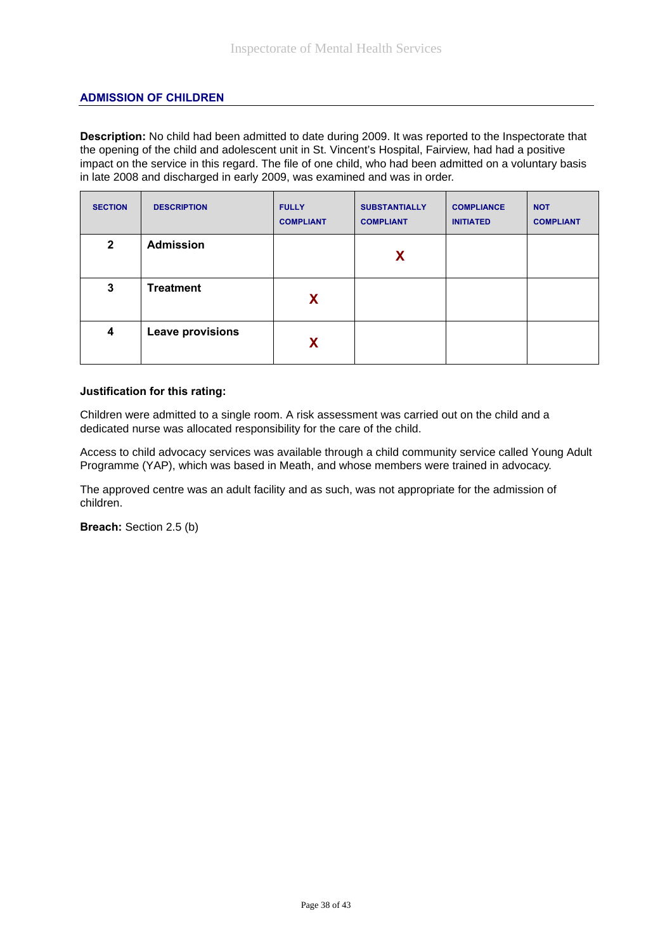#### **ADMISSION OF CHILDREN**

**Description:** No child had been admitted to date during 2009. It was reported to the Inspectorate that the opening of the child and adolescent unit in St. Vincent's Hospital, Fairview, had had a positive impact on the service in this regard. The file of one child, who had been admitted on a voluntary basis in late 2008 and discharged in early 2009, was examined and was in order.

| <b>SECTION</b> | <b>DESCRIPTION</b> | <b>FULLY</b><br><b>COMPLIANT</b> | <b>SUBSTANTIALLY</b><br><b>COMPLIANT</b> | <b>COMPLIANCE</b><br><b>INITIATED</b> | <b>NOT</b><br><b>COMPLIANT</b> |
|----------------|--------------------|----------------------------------|------------------------------------------|---------------------------------------|--------------------------------|
| $\mathbf{2}$   | <b>Admission</b>   |                                  | X                                        |                                       |                                |
| 3              | <b>Treatment</b>   | X                                |                                          |                                       |                                |
| 4              | Leave provisions   | X                                |                                          |                                       |                                |

#### **Justification for this rating:**

Children were admitted to a single room. A risk assessment was carried out on the child and a dedicated nurse was allocated responsibility for the care of the child.

Access to child advocacy services was available through a child community service called Young Adult Programme (YAP), which was based in Meath, and whose members were trained in advocacy.

The approved centre was an adult facility and as such, was not appropriate for the admission of children.

**Breach:** Section 2.5 (b)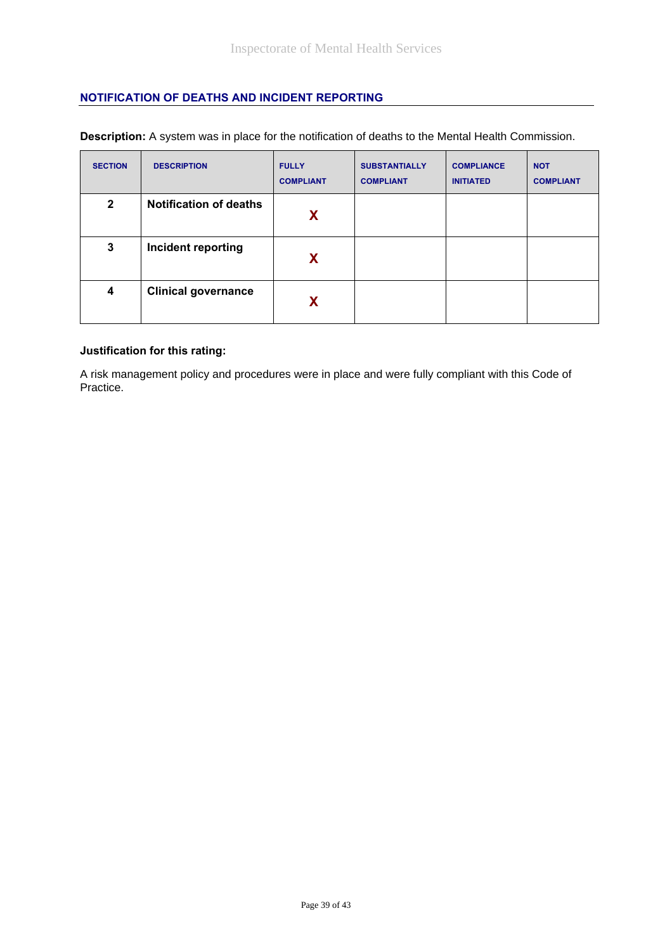#### **NOTIFICATION OF DEATHS AND INCIDENT REPORTING**

| <b>SECTION</b> | <b>DESCRIPTION</b>            | <b>FULLY</b><br><b>COMPLIANT</b> | <b>SUBSTANTIALLY</b><br><b>COMPLIANT</b> | <b>COMPLIANCE</b><br><b>INITIATED</b> | <b>NOT</b><br><b>COMPLIANT</b> |
|----------------|-------------------------------|----------------------------------|------------------------------------------|---------------------------------------|--------------------------------|
| $\mathbf{2}$   | <b>Notification of deaths</b> | <b>X</b>                         |                                          |                                       |                                |
| 3              | Incident reporting            | X                                |                                          |                                       |                                |
| 4              | <b>Clinical governance</b>    | X                                |                                          |                                       |                                |

**Description:** A system was in place for the notification of deaths to the Mental Health Commission.

#### **Justification for this rating:**

A risk management policy and procedures were in place and were fully compliant with this Code of Practice.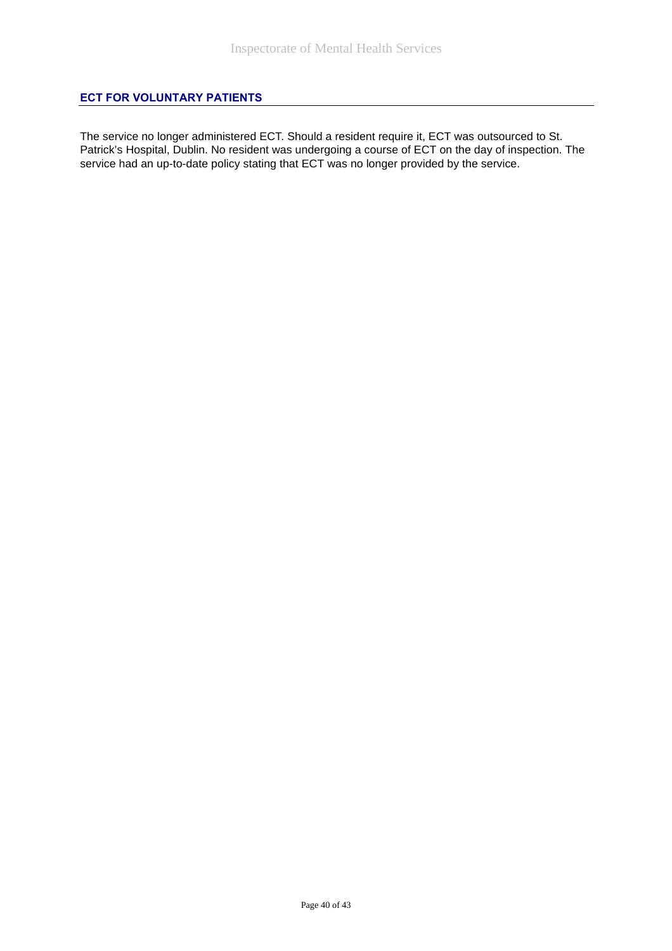#### **ECT FOR VOLUNTARY PATIENTS**

The service no longer administered ECT. Should a resident require it, ECT was outsourced to St. Patrick's Hospital, Dublin. No resident was undergoing a course of ECT on the day of inspection. The service had an up-to-date policy stating that ECT was no longer provided by the service.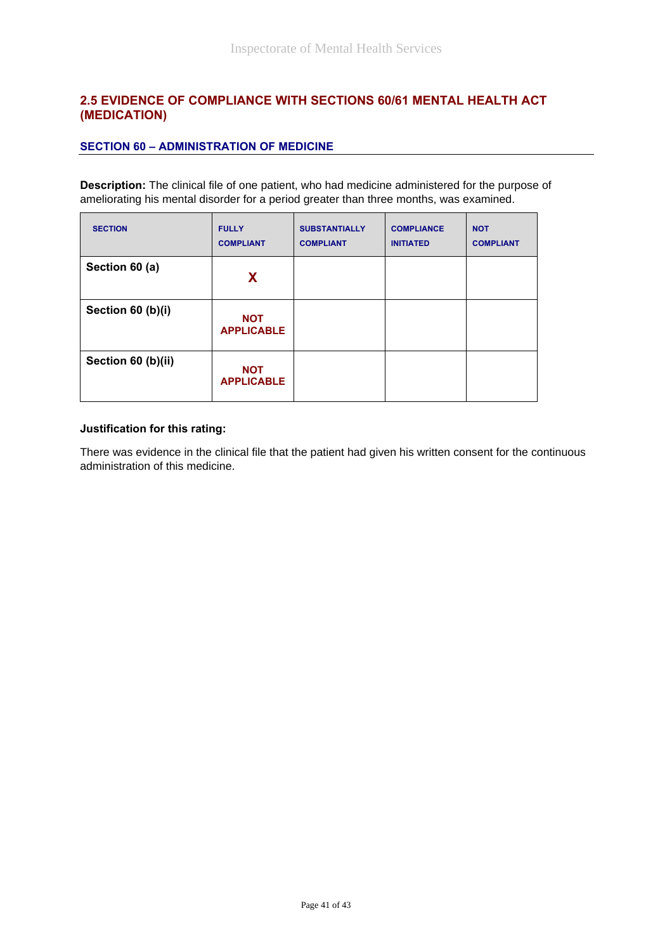## **2.5 EVIDENCE OF COMPLIANCE WITH SECTIONS 60/61 MENTAL HEALTH ACT (MEDICATION)**

#### **SECTION 60 – ADMINISTRATION OF MEDICINE**

**Description:** The clinical file of one patient, who had medicine administered for the purpose of ameliorating his mental disorder for a period greater than three months, was examined.

| <b>SECTION</b>     | <b>FULLY</b><br><b>COMPLIANT</b> | <b>SUBSTANTIALLY</b><br><b>COMPLIANT</b> | <b>COMPLIANCE</b><br><b>INITIATED</b> | <b>NOT</b><br><b>COMPLIANT</b> |
|--------------------|----------------------------------|------------------------------------------|---------------------------------------|--------------------------------|
| Section 60 (a)     | X                                |                                          |                                       |                                |
| Section 60 (b)(i)  | <b>NOT</b><br><b>APPLICABLE</b>  |                                          |                                       |                                |
| Section 60 (b)(ii) | <b>NOT</b><br><b>APPLICABLE</b>  |                                          |                                       |                                |

#### **Justification for this rating:**

There was evidence in the clinical file that the patient had given his written consent for the continuous administration of this medicine.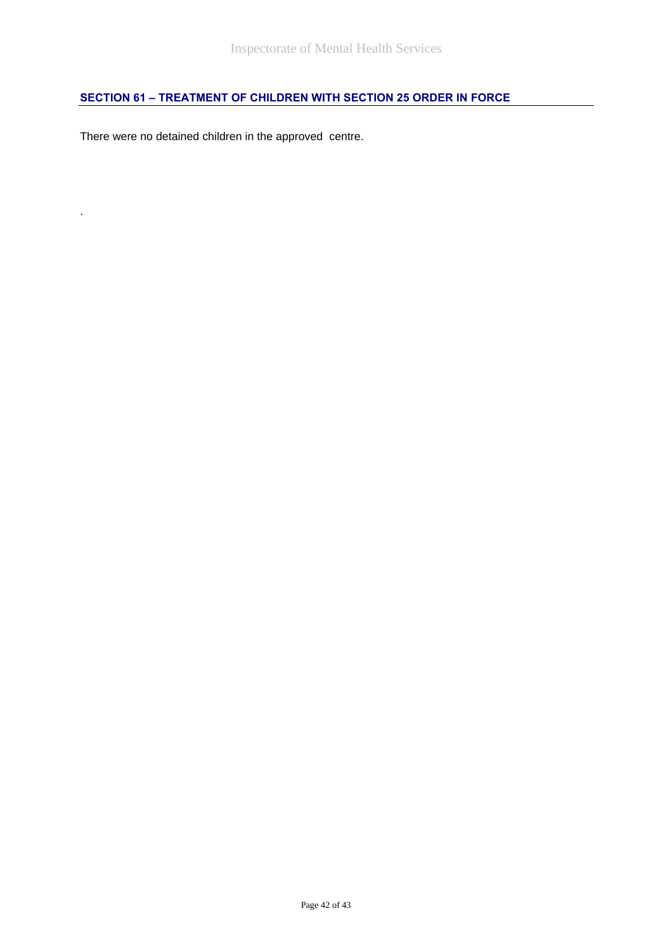# **SECTION 61 – TREATMENT OF CHILDREN WITH SECTION 25 ORDER IN FORCE**

There were no detained children in the approved centre.

.